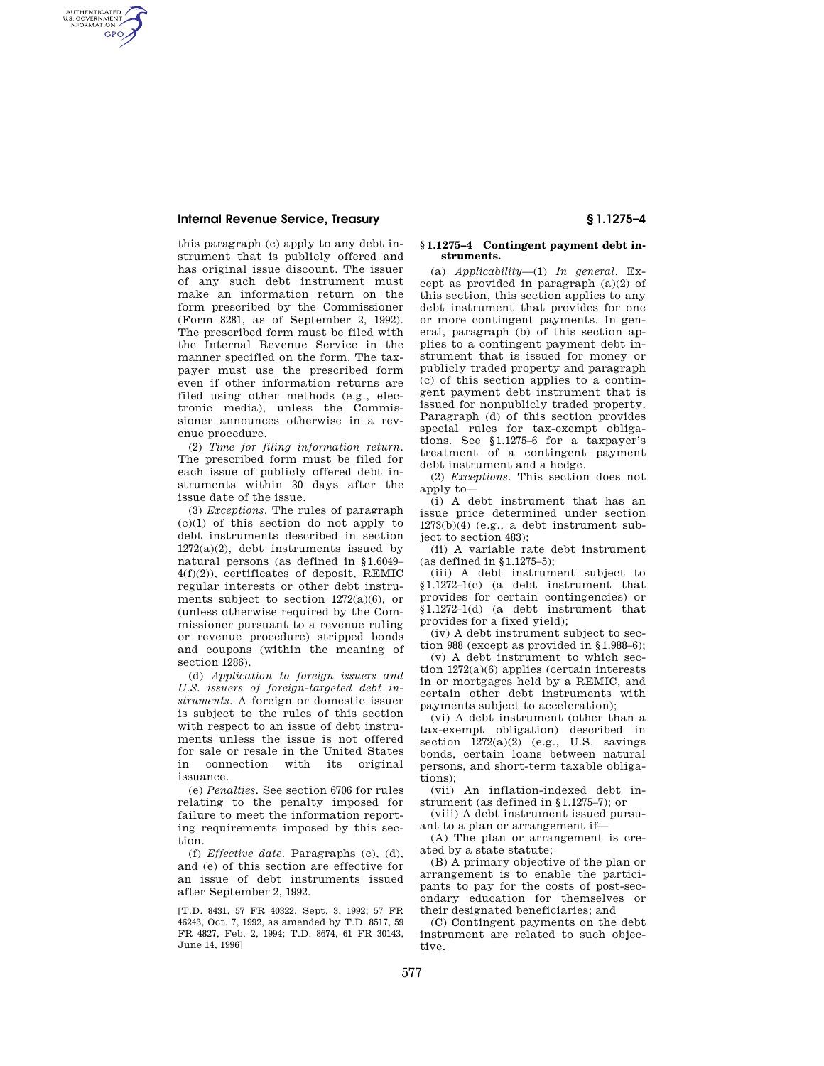AUTHENTICATED<br>U.S. GOVERNMENT<br>INFORMATION **GPO** 

> this paragraph (c) apply to any debt instrument that is publicly offered and has original issue discount. The issuer of any such debt instrument must make an information return on the form prescribed by the Commissioner (Form 8281, as of September 2, 1992). The prescribed form must be filed with the Internal Revenue Service in the manner specified on the form. The taxpayer must use the prescribed form even if other information returns are filed using other methods (e.g., electronic media), unless the Commissioner announces otherwise in a revenue procedure.

> (2) *Time for filing information return.*  The prescribed form must be filed for each issue of publicly offered debt instruments within 30 days after the issue date of the issue.

> (3) *Exceptions.* The rules of paragraph (c)(1) of this section do not apply to debt instruments described in section  $1272(a)(2)$ , debt instruments issued by natural persons (as defined in §1.6049– 4(f)(2)), certificates of deposit, REMIC regular interests or other debt instruments subject to section 1272(a)(6), or (unless otherwise required by the Commissioner pursuant to a revenue ruling or revenue procedure) stripped bonds and coupons (within the meaning of section 1286).

> (d) *Application to foreign issuers and U.S. issuers of foreign-targeted debt instruments.* A foreign or domestic issuer is subject to the rules of this section with respect to an issue of debt instruments unless the issue is not offered for sale or resale in the United States in connection with its original issuance.

> (e) *Penalties.* See section 6706 for rules relating to the penalty imposed for failure to meet the information reporting requirements imposed by this section.

> (f) *Effective date.* Paragraphs (c), (d), and (e) of this section are effective for an issue of debt instruments issued after September 2, 1992.

> [T.D. 8431, 57 FR 40322, Sept. 3, 1992; 57 FR 46243, Oct. 7, 1992, as amended by T.D. 8517, 59 FR 4827, Feb. 2, 1994; T.D. 8674, 61 FR 30143, June 14, 1996]

### **§ 1.1275–4 Contingent payment debt instruments.**

(a) *Applicability*—(1) *In general.* Except as provided in paragraph (a)(2) of this section, this section applies to any debt instrument that provides for one or more contingent payments. In general, paragraph (b) of this section applies to a contingent payment debt instrument that is issued for money or publicly traded property and paragraph (c) of this section applies to a contingent payment debt instrument that is issued for nonpublicly traded property. Paragraph (d) of this section provides special rules for tax-exempt obligations. See §1.1275–6 for a taxpayer's treatment of a contingent payment debt instrument and a hedge.

(2) *Exceptions.* This section does not apply to—

(i) A debt instrument that has an issue price determined under section 1273(b)(4) (e.g., a debt instrument subject to section 483);

(ii) A variable rate debt instrument (as defined in §1.1275–5);

(iii) A debt instrument subject to §1.1272–1(c) (a debt instrument that provides for certain contingencies) or §1.1272–1(d) (a debt instrument that provides for a fixed yield);

(iv) A debt instrument subject to section 988 (except as provided in §1.988–6);

(v) A debt instrument to which section 1272(a)(6) applies (certain interests in or mortgages held by a REMIC, and certain other debt instruments with payments subject to acceleration);

(vi) A debt instrument (other than a tax-exempt obligation) described in section  $1272(a)(2)$  (e.g., U.S. savings bonds, certain loans between natural persons, and short-term taxable obligations);

(vii) An inflation-indexed debt instrument (as defined in §1.1275–7); or

(viii) A debt instrument issued pursuant to a plan or arrangement if—

(A) The plan or arrangement is created by a state statute;

(B) A primary objective of the plan or arrangement is to enable the participants to pay for the costs of post-secondary education for themselves or their designated beneficiaries; and

(C) Contingent payments on the debt instrument are related to such objective.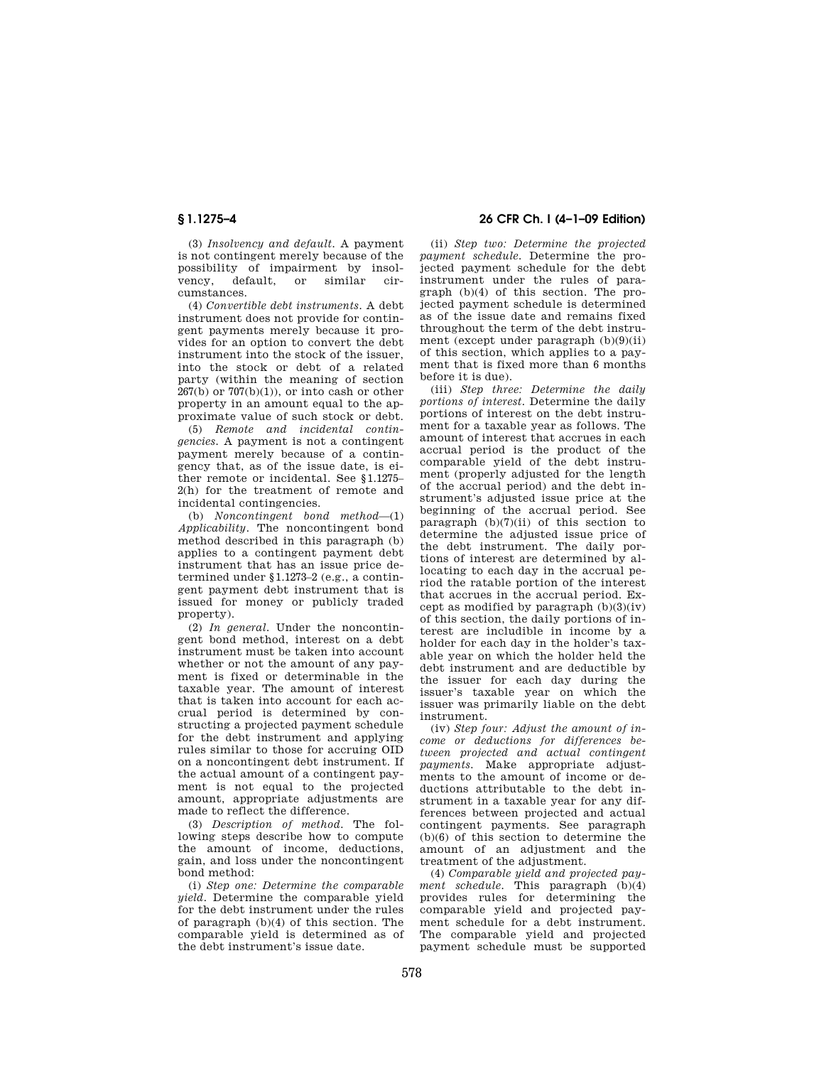(3) *Insolvency and default.* A payment is not contingent merely because of the possibility of impairment by insolvency, default, or similar circumstances.

(4) *Convertible debt instruments.* A debt instrument does not provide for contingent payments merely because it provides for an option to convert the debt instrument into the stock of the issuer, into the stock or debt of a related party (within the meaning of section  $267(b)$  or  $707(b)(1)$ , or into cash or other property in an amount equal to the approximate value of such stock or debt.

(5) *Remote and incidental contingencies.* A payment is not a contingent payment merely because of a contingency that, as of the issue date, is either remote or incidental. See §1.1275– 2(h) for the treatment of remote and incidental contingencies.

(b) *Noncontingent bond method*—(1) *Applicability.* The noncontingent bond method described in this paragraph (b) applies to a contingent payment debt instrument that has an issue price determined under §1.1273–2 (e.g., a contingent payment debt instrument that is issued for money or publicly traded property).

(2) *In general.* Under the noncontingent bond method, interest on a debt instrument must be taken into account whether or not the amount of any payment is fixed or determinable in the taxable year. The amount of interest that is taken into account for each accrual period is determined by constructing a projected payment schedule for the debt instrument and applying rules similar to those for accruing OID on a noncontingent debt instrument. If the actual amount of a contingent payment is not equal to the projected amount, appropriate adjustments are made to reflect the difference.

(3) *Description of method.* The following steps describe how to compute the amount of income, deductions, gain, and loss under the noncontingent bond method:

(i) *Step one: Determine the comparable yield.* Determine the comparable yield for the debt instrument under the rules of paragraph (b)(4) of this section. The comparable yield is determined as of the debt instrument's issue date.

# **§ 1.1275–4 26 CFR Ch. I (4–1–09 Edition)**

(ii) *Step two: Determine the projected payment schedule.* Determine the projected payment schedule for the debt instrument under the rules of paragraph  $(b)(4)$  of this section. The projected payment schedule is determined as of the issue date and remains fixed throughout the term of the debt instrument (except under paragraph (b)(9)(ii) of this section, which applies to a payment that is fixed more than 6 months before it is due).

(iii) *Step three: Determine the daily portions of interest.* Determine the daily portions of interest on the debt instrument for a taxable year as follows. The amount of interest that accrues in each accrual period is the product of the comparable yield of the debt instrument (properly adjusted for the length of the accrual period) and the debt instrument's adjusted issue price at the beginning of the accrual period. See paragraph  $(b)(7)(ii)$  of this section to determine the adjusted issue price of the debt instrument. The daily portions of interest are determined by allocating to each day in the accrual period the ratable portion of the interest that accrues in the accrual period. Except as modified by paragraph  $(b)(3)(iv)$ of this section, the daily portions of interest are includible in income by a holder for each day in the holder's taxable year on which the holder held the debt instrument and are deductible by the issuer for each day during the issuer's taxable year on which the issuer was primarily liable on the debt instrument.

(iv) *Step four: Adjust the amount of income or deductions for differences between projected and actual contingent payments.* Make appropriate adjustments to the amount of income or deductions attributable to the debt instrument in a taxable year for any differences between projected and actual contingent payments. See paragraph (b)(6) of this section to determine the amount of an adjustment and the treatment of the adjustment.

(4) *Comparable yield and projected payment schedule.* This paragraph (b)(4) provides rules for determining the comparable yield and projected payment schedule for a debt instrument. The comparable yield and projected payment schedule must be supported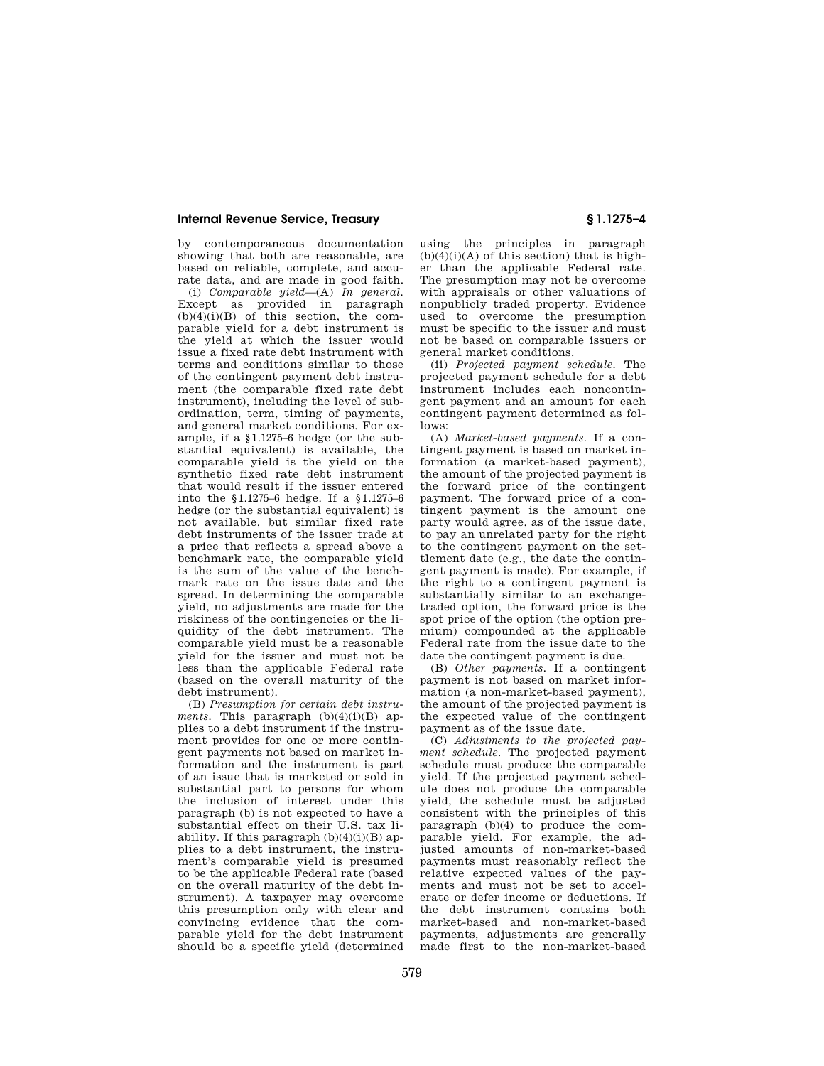by contemporaneous documentation showing that both are reasonable, are based on reliable, complete, and accurate data, and are made in good faith.

(i) *Comparable yield*—(A) *In general.*  Except as provided in paragraph  $(b)(4)(i)(B)$  of this section, the comparable yield for a debt instrument is the yield at which the issuer would issue a fixed rate debt instrument with terms and conditions similar to those of the contingent payment debt instrument (the comparable fixed rate debt instrument), including the level of subordination, term, timing of payments, and general market conditions. For example, if a §1.1275–6 hedge (or the substantial equivalent) is available, the comparable yield is the yield on the synthetic fixed rate debt instrument that would result if the issuer entered into the §1.1275–6 hedge. If a §1.1275–6 hedge (or the substantial equivalent) is not available, but similar fixed rate debt instruments of the issuer trade at a price that reflects a spread above a benchmark rate, the comparable yield is the sum of the value of the benchmark rate on the issue date and the spread. In determining the comparable yield, no adjustments are made for the riskiness of the contingencies or the liquidity of the debt instrument. The comparable yield must be a reasonable yield for the issuer and must not be less than the applicable Federal rate (based on the overall maturity of the debt instrument).

(B) *Presumption for certain debt instruments.* This paragraph (b)(4)(i)(B) applies to a debt instrument if the instrument provides for one or more contingent payments not based on market information and the instrument is part of an issue that is marketed or sold in substantial part to persons for whom the inclusion of interest under this paragraph (b) is not expected to have a substantial effect on their U.S. tax liability. If this paragraph  $(b)(4)(i)(B)$  applies to a debt instrument, the instrument's comparable yield is presumed to be the applicable Federal rate (based on the overall maturity of the debt instrument). A taxpayer may overcome this presumption only with clear and convincing evidence that the comparable yield for the debt instrument should be a specific yield (determined

using the principles in paragraph  $(b)(4)(i)(A)$  of this section) that is higher than the applicable Federal rate. The presumption may not be overcome with appraisals or other valuations of nonpublicly traded property. Evidence used to overcome the presumption must be specific to the issuer and must not be based on comparable issuers or general market conditions.

(ii) *Projected payment schedule.* The projected payment schedule for a debt instrument includes each noncontingent payment and an amount for each contingent payment determined as follows:

(A) *Market-based payments.* If a contingent payment is based on market information (a market-based payment), the amount of the projected payment is the forward price of the contingent payment. The forward price of a contingent payment is the amount one party would agree, as of the issue date, to pay an unrelated party for the right to the contingent payment on the settlement date (e.g., the date the contingent payment is made). For example, if the right to a contingent payment is substantially similar to an exchangetraded option, the forward price is the spot price of the option (the option premium) compounded at the applicable Federal rate from the issue date to the date the contingent payment is due.

(B) *Other payments.* If a contingent payment is not based on market information (a non-market-based payment), the amount of the projected payment is the expected value of the contingent payment as of the issue date.

(C) *Adjustments to the projected payment schedule.* The projected payment schedule must produce the comparable yield. If the projected payment schedule does not produce the comparable yield, the schedule must be adjusted consistent with the principles of this paragraph (b)(4) to produce the comparable yield. For example, the adjusted amounts of non-market-based payments must reasonably reflect the relative expected values of the payments and must not be set to accelerate or defer income or deductions. If the debt instrument contains both market-based and non-market-based payments, adjustments are generally made first to the non-market-based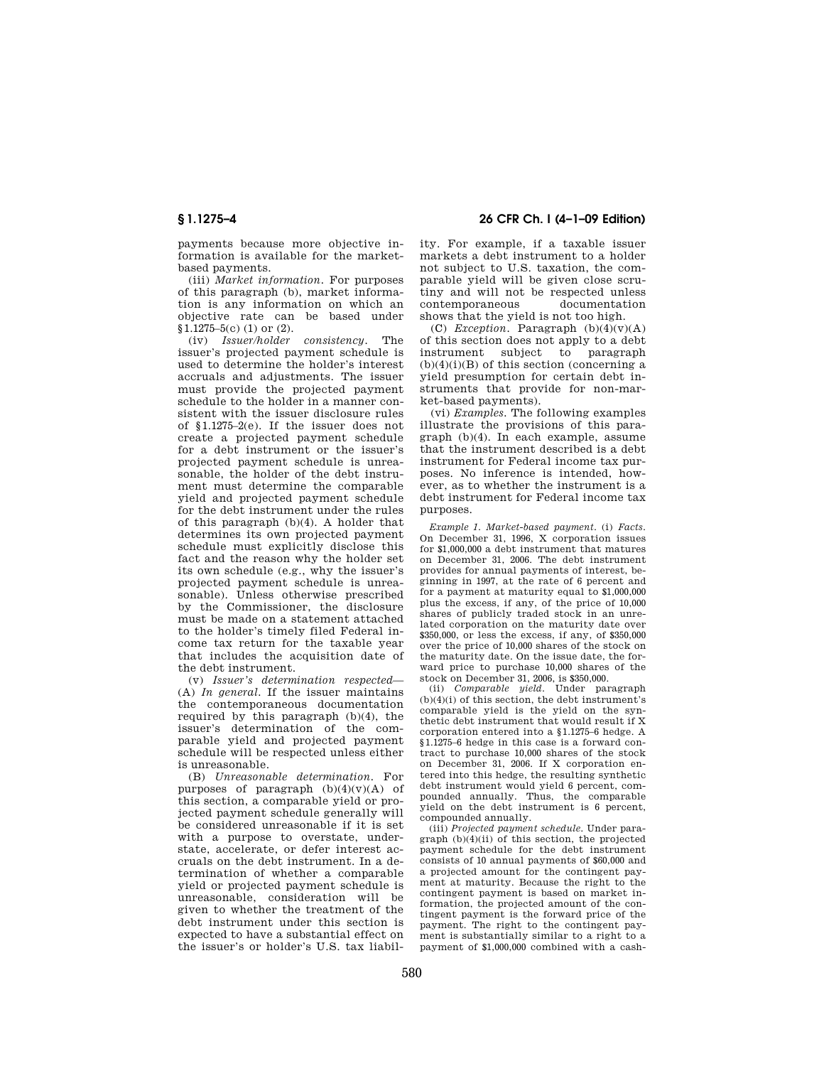payments because more objective information is available for the marketbased payments.

(iii) *Market information.* For purposes of this paragraph (b), market information is any information on which an objective rate can be based under  $$1.1275-5(c) (1)$  or  $(2)$ .

(iv) *Issuer/holder consistency.* The issuer's projected payment schedule is used to determine the holder's interest accruals and adjustments. The issuer must provide the projected payment schedule to the holder in a manner consistent with the issuer disclosure rules of §1.1275–2(e). If the issuer does not create a projected payment schedule for a debt instrument or the issuer's projected payment schedule is unreasonable, the holder of the debt instrument must determine the comparable yield and projected payment schedule for the debt instrument under the rules of this paragraph (b)(4). A holder that determines its own projected payment schedule must explicitly disclose this fact and the reason why the holder set its own schedule (e.g., why the issuer's projected payment schedule is unreasonable). Unless otherwise prescribed by the Commissioner, the disclosure must be made on a statement attached to the holder's timely filed Federal income tax return for the taxable year that includes the acquisition date of the debt instrument.

(v) *Issuer's determination respected*— (A) *In general.* If the issuer maintains the contemporaneous documentation required by this paragraph (b)(4), the issuer's determination of the comparable yield and projected payment schedule will be respected unless either is unreasonable.

(B) *Unreasonable determination.* For purposes of paragraph  $(b)(4)(v)(A)$  of this section, a comparable yield or projected payment schedule generally will be considered unreasonable if it is set with a purpose to overstate, understate, accelerate, or defer interest accruals on the debt instrument. In a determination of whether a comparable yield or projected payment schedule is unreasonable, consideration will be given to whether the treatment of the debt instrument under this section is expected to have a substantial effect on the issuer's or holder's U.S. tax liabil-

**§ 1.1275–4 26 CFR Ch. I (4–1–09 Edition)** 

ity. For example, if a taxable issuer markets a debt instrument to a holder not subject to U.S. taxation, the comparable yield will be given close scrutiny and will not be respected unless contemporaneous documentation shows that the yield is not too high.

(C) *Exception.* Paragraph  $(b)(4)(v)(A)$ of this section does not apply to a debt instrument subject to paragraph  $(b)(4)(i)(B)$  of this section (concerning a yield presumption for certain debt instruments that provide for non-market-based payments).

(vi) *Examples.* The following examples illustrate the provisions of this paragraph (b)(4). In each example, assume that the instrument described is a debt instrument for Federal income tax purposes. No inference is intended, however, as to whether the instrument is a debt instrument for Federal income tax purposes.

*Example 1. Market-based payment.* (i) *Facts.*  On December 31, 1996, X corporation issues for \$1,000,000 a debt instrument that matures on December 31, 2006. The debt instrument provides for annual payments of interest, beginning in 1997, at the rate of 6 percent and for a payment at maturity equal to \$1,000,000 plus the excess, if any, of the price of 10,000 shares of publicly traded stock in an unrelated corporation on the maturity date over \$350,000, or less the excess, if any, of \$350,000 over the price of 10,000 shares of the stock on the maturity date. On the issue date, the forward price to purchase 10,000 shares of the stock on December 31, 2006, is \$350,000.

(ii) *Comparable yield.* Under paragraph  $(b)(4)(i)$  of this section, the debt instrument's comparable yield is the yield on the synthetic debt instrument that would result if X corporation entered into a §1.1275–6 hedge. A §1.1275–6 hedge in this case is a forward contract to purchase 10,000 shares of the stock on December 31, 2006. If X corporation entered into this hedge, the resulting synthetic debt instrument would yield 6 percent, compounded annually. Thus, the comparable yield on the debt instrument is 6 percent, compounded annually.

(iii) *Projected payment schedule.* Under paragraph (b)(4)(ii) of this section, the projected payment schedule for the debt instrument consists of 10 annual payments of \$60,000 and a projected amount for the contingent payment at maturity. Because the right to the contingent payment is based on market information, the projected amount of the contingent payment is the forward price of the payment. The right to the contingent payment is substantially similar to a right to a payment of \$1,000,000 combined with a cash-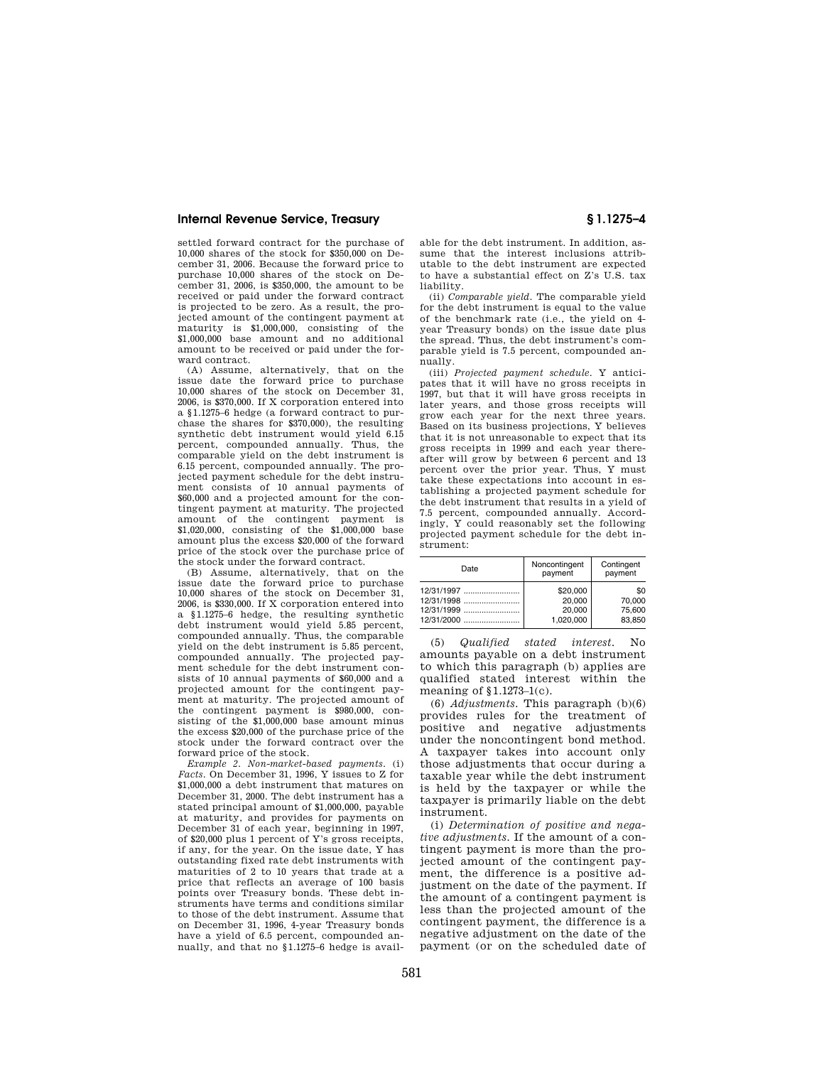settled forward contract for the purchase of 10,000 shares of the stock for \$350,000 on December 31, 2006. Because the forward price to purchase 10,000 shares of the stock on December 31, 2006, is \$350,000, the amount to be received or paid under the forward contract is projected to be zero. As a result, the projected amount of the contingent payment at maturity is \$1,000,000, consisting of the \$1,000,000 base amount and no additional amount to be received or paid under the forward contract.

(A) Assume, alternatively, that on the issue date the forward price to purchase 10,000 shares of the stock on December 31, 2006, is \$370,000. If X corporation entered into a §1.1275–6 hedge (a forward contract to purchase the shares for \$370,000), the resulting synthetic debt instrument would yield 6.15 percent, compounded annually. Thus, the comparable yield on the debt instrument is 6.15 percent, compounded annually. The projected payment schedule for the debt instrument consists of 10 annual payments of \$60,000 and a projected amount for the contingent payment at maturity. The projected amount of the contingent payment is \$1,020,000, consisting of the \$1,000,000 base amount plus the excess \$20,000 of the forward price of the stock over the purchase price of the stock under the forward contract.

(B) Assume, alternatively, that on the issue date the forward price to purchase 10,000 shares of the stock on December 31, 2006, is \$330,000. If X corporation entered into a §1.1275–6 hedge, the resulting synthetic debt instrument would yield 5.85 percent, compounded annually. Thus, the comparable yield on the debt instrument is 5.85 percent, compounded annually. The projected payment schedule for the debt instrument consists of 10 annual payments of \$60,000 and a projected amount for the contingent payment at maturity. The projected amount of the contingent payment is \$980,000, consisting of the \$1,000,000 base amount minus the excess \$20,000 of the purchase price of the stock under the forward contract over the forward price of the stock.

*Example 2. Non-market-based payments.* (i) *Facts.* On December 31, 1996, Y issues to Z for \$1,000,000 a debt instrument that matures on December 31, 2000. The debt instrument has a stated principal amount of \$1,000,000, payable at maturity, and provides for payments on December 31 of each year, beginning in 1997, of \$20,000 plus 1 percent of Y's gross receipts, if any, for the year. On the issue date, Y has outstanding fixed rate debt instruments with maturities of 2 to 10 years that trade at a price that reflects an average of 100 basis points over Treasury bonds. These debt instruments have terms and conditions similar to those of the debt instrument. Assume that on December 31, 1996, 4-year Treasury bonds have a yield of 6.5 percent, compounded annually, and that no §1.1275–6 hedge is available for the debt instrument. In addition, assume that the interest inclusions attributable to the debt instrument are expected to have a substantial effect on Z's U.S. tax liability.

(ii) *Comparable yield.* The comparable yield for the debt instrument is equal to the value of the benchmark rate (i.e., the yield on 4 year Treasury bonds) on the issue date plus the spread. Thus, the debt instrument's comparable yield is 7.5 percent, compounded annually.

(iii) *Projected payment schedule.* Y anticipates that it will have no gross receipts in 1997, but that it will have gross receipts in later years, and those gross receipts will grow each year for the next three years. Based on its business projections, Y believes that it is not unreasonable to expect that its gross receipts in 1999 and each year thereafter will grow by between 6 percent and 13 percent over the prior year. Thus, Y must take these expectations into account in establishing a projected payment schedule for the debt instrument that results in a yield of 7.5 percent, compounded annually. Accordingly, Y could reasonably set the following projected payment schedule for the debt instrument:

| Date       | Noncontingent<br>payment | Contingent<br>payment |
|------------|--------------------------|-----------------------|
| 12/31/1997 | \$20,000                 | \$0                   |
| 12/31/1998 | 20.000                   | 70.000                |
| 12/31/1999 | 20,000                   | 75.600                |
|            | 1,020,000                | 83.850                |

(5) *Qualified stated interest.* No amounts payable on a debt instrument to which this paragraph (b) applies are qualified stated interest within the meaning of §1.1273–1(c).

(6) *Adjustments.* This paragraph (b)(6) provides rules for the treatment of positive and negative adjustments under the noncontingent bond method. A taxpayer takes into account only those adjustments that occur during a taxable year while the debt instrument is held by the taxpayer or while the taxpayer is primarily liable on the debt instrument.

(i) *Determination of positive and negative adjustments.* If the amount of a contingent payment is more than the projected amount of the contingent payment, the difference is a positive adjustment on the date of the payment. If the amount of a contingent payment is less than the projected amount of the contingent payment, the difference is a negative adjustment on the date of the payment (or on the scheduled date of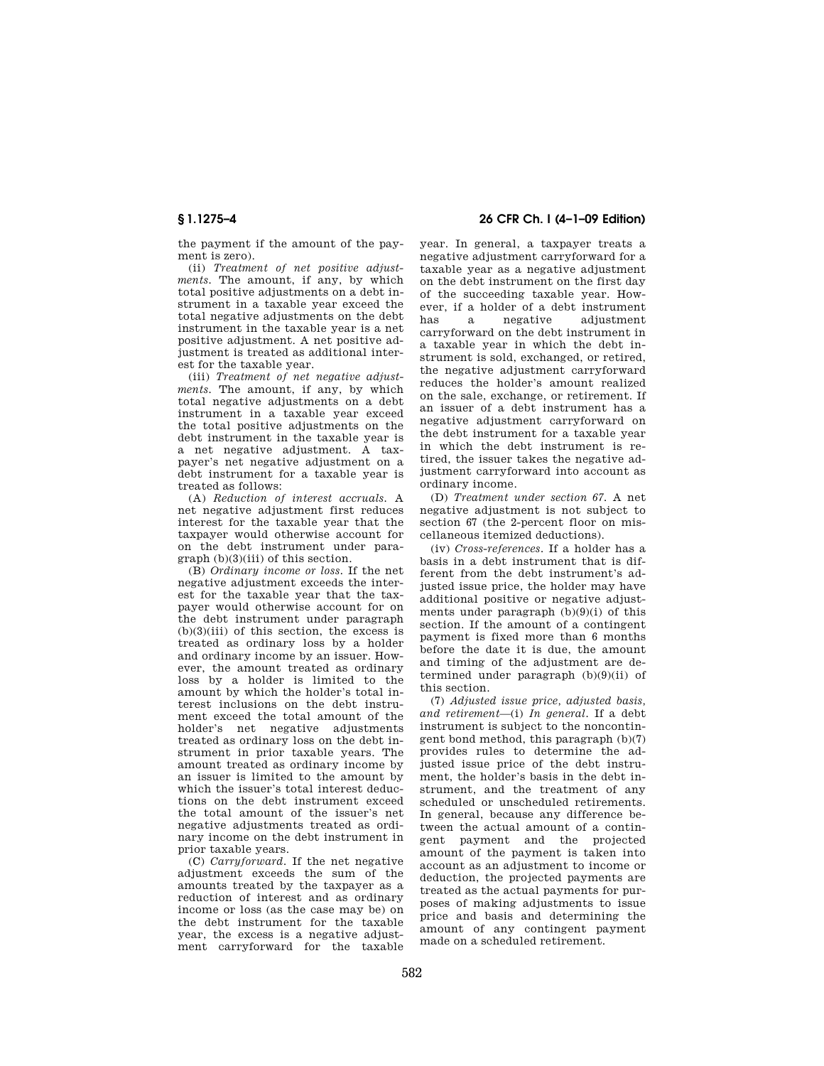the payment if the amount of the payment is zero).

(ii) *Treatment of net positive adjustments.* The amount, if any, by which total positive adjustments on a debt instrument in a taxable year exceed the total negative adjustments on the debt instrument in the taxable year is a net positive adjustment. A net positive adjustment is treated as additional interest for the taxable year.

(iii) *Treatment of net negative adjustments.* The amount, if any, by which total negative adjustments on a debt instrument in a taxable year exceed the total positive adjustments on the debt instrument in the taxable year is a net negative adjustment. A taxpayer's net negative adjustment on a debt instrument for a taxable year is treated as follows:

(A) *Reduction of interest accruals.* A net negative adjustment first reduces interest for the taxable year that the taxpayer would otherwise account for on the debt instrument under paragraph (b)(3)(iii) of this section.

(B) *Ordinary income or loss.* If the net negative adjustment exceeds the interest for the taxable year that the taxpayer would otherwise account for on the debt instrument under paragraph  $(b)(3)(iii)$  of this section, the excess is treated as ordinary loss by a holder and ordinary income by an issuer. However, the amount treated as ordinary loss by a holder is limited to the amount by which the holder's total interest inclusions on the debt instrument exceed the total amount of the holder's net negative adjustments treated as ordinary loss on the debt instrument in prior taxable years. The amount treated as ordinary income by an issuer is limited to the amount by which the issuer's total interest deductions on the debt instrument exceed the total amount of the issuer's net negative adjustments treated as ordinary income on the debt instrument in prior taxable years.

(C) *Carryforward.* If the net negative adjustment exceeds the sum of the amounts treated by the taxpayer as a reduction of interest and as ordinary income or loss (as the case may be) on the debt instrument for the taxable year, the excess is a negative adjustment carryforward for the taxable

**§ 1.1275–4 26 CFR Ch. I (4–1–09 Edition)** 

year. In general, a taxpayer treats a negative adjustment carryforward for a taxable year as a negative adjustment on the debt instrument on the first day of the succeeding taxable year. However, if a holder of a debt instrument has a negative adjustment carryforward on the debt instrument in a taxable year in which the debt instrument is sold, exchanged, or retired, the negative adjustment carryforward reduces the holder's amount realized on the sale, exchange, or retirement. If an issuer of a debt instrument has a negative adjustment carryforward on the debt instrument for a taxable year in which the debt instrument is retired, the issuer takes the negative adjustment carryforward into account as ordinary income.

(D) *Treatment under section 67.* A net negative adjustment is not subject to section 67 (the 2-percent floor on miscellaneous itemized deductions).

(iv) *Cross-references.* If a holder has a basis in a debt instrument that is different from the debt instrument's adjusted issue price, the holder may have additional positive or negative adjustments under paragraph (b)(9)(i) of this section. If the amount of a contingent payment is fixed more than 6 months before the date it is due, the amount and timing of the adjustment are determined under paragraph (b)(9)(ii) of this section.

(7) *Adjusted issue price, adjusted basis, and retirement*—(i) *In general.* If a debt instrument is subject to the noncontingent bond method, this paragraph (b)(7) provides rules to determine the adjusted issue price of the debt instrument, the holder's basis in the debt instrument, and the treatment of any scheduled or unscheduled retirements. In general, because any difference between the actual amount of a contingent payment and the projected amount of the payment is taken into account as an adjustment to income or deduction, the projected payments are treated as the actual payments for purposes of making adjustments to issue price and basis and determining the amount of any contingent payment made on a scheduled retirement.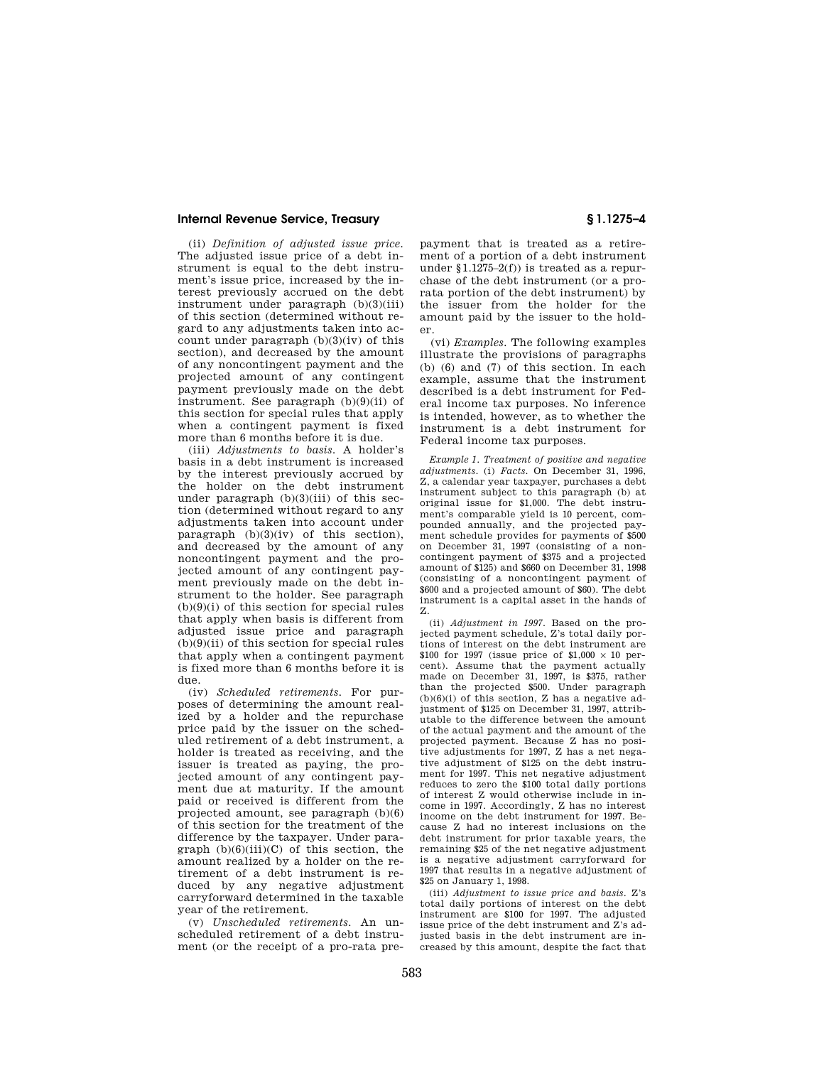(ii) *Definition of adjusted issue price.*  The adjusted issue price of a debt instrument is equal to the debt instrument's issue price, increased by the interest previously accrued on the debt instrument under paragraph (b)(3)(iii) of this section (determined without regard to any adjustments taken into account under paragraph (b)(3)(iv) of this section), and decreased by the amount of any noncontingent payment and the projected amount of any contingent payment previously made on the debt instrument. See paragraph (b)(9)(ii) of this section for special rules that apply when a contingent payment is fixed more than 6 months before it is due.

(iii) *Adjustments to basis.* A holder's basis in a debt instrument is increased by the interest previously accrued by the holder on the debt instrument under paragraph (b)(3)(iii) of this section (determined without regard to any adjustments taken into account under paragraph  $(b)(3)(iv)$  of this section), and decreased by the amount of any noncontingent payment and the projected amount of any contingent payment previously made on the debt instrument to the holder. See paragraph  $(b)(9)(i)$  of this section for special rules that apply when basis is different from adjusted issue price and paragraph  $(b)(9)(ii)$  of this section for special rules that apply when a contingent payment is fixed more than 6 months before it is due.

(iv) *Scheduled retirements.* For purposes of determining the amount realized by a holder and the repurchase price paid by the issuer on the scheduled retirement of a debt instrument, a holder is treated as receiving, and the issuer is treated as paying, the projected amount of any contingent payment due at maturity. If the amount paid or received is different from the projected amount, see paragraph (b)(6) of this section for the treatment of the difference by the taxpayer. Under paragraph  $(b)(6)(iii)(C)$  of this section, the amount realized by a holder on the retirement of a debt instrument is reduced by any negative adjustment carryforward determined in the taxable year of the retirement.

(v) *Unscheduled retirements.* An unscheduled retirement of a debt instrument (or the receipt of a pro-rata pre-

payment that is treated as a retirement of a portion of a debt instrument under  $$1.1275-2(f)$  is treated as a repurchase of the debt instrument (or a prorata portion of the debt instrument) by the issuer from the holder for the amount paid by the issuer to the holder.

(vi) *Examples.* The following examples illustrate the provisions of paragraphs (b) (6) and (7) of this section. In each example, assume that the instrument described is a debt instrument for Federal income tax purposes. No inference is intended, however, as to whether the instrument is a debt instrument for Federal income tax purposes.

*Example 1. Treatment of positive and negative adjustments.* (i) *Facts.* On December 31, 1996, Z, a calendar year taxpayer, purchases a debt instrument subject to this paragraph (b) at original issue for \$1,000. The debt instrument's comparable yield is 10 percent, compounded annually, and the projected payment schedule provides for payments of \$500 on December 31, 1997 (consisting of a noncontingent payment of \$375 and a projected amount of \$125) and \$660 on December 31, 1998 (consisting of a noncontingent payment of \$600 and a projected amount of \$60). The debt instrument is a capital asset in the hands of Z.

(ii) *Adjustment in 1997.* Based on the projected payment schedule, Z's total daily portions of interest on the debt instrument are \$100 for 1997 (issue price of  $$1,000 \times 10$  percent). Assume that the payment actually made on December 31, 1997, is \$375, rather than the projected \$500. Under paragraph  $(b)(6)(i)$  of this section, Z has a negative adjustment of \$125 on December 31, 1997, attributable to the difference between the amount of the actual payment and the amount of the projected payment. Because Z has no positive adjustments for 1997, Z has a net negative adjustment of \$125 on the debt instrument for 1997. This net negative adjustment reduces to zero the \$100 total daily portions of interest Z would otherwise include in income in 1997. Accordingly, Z has no interest income on the debt instrument for 1997. Because Z had no interest inclusions on the debt instrument for prior taxable years, the remaining \$25 of the net negative adjustment is a negative adjustment carryforward for 1997 that results in a negative adjustment of \$25 on January 1, 1998.

(iii) *Adjustment to issue price and basis.* Z's total daily portions of interest on the debt instrument are \$100 for 1997. The adjusted issue price of the debt instrument and Z's adjusted basis in the debt instrument are increased by this amount, despite the fact that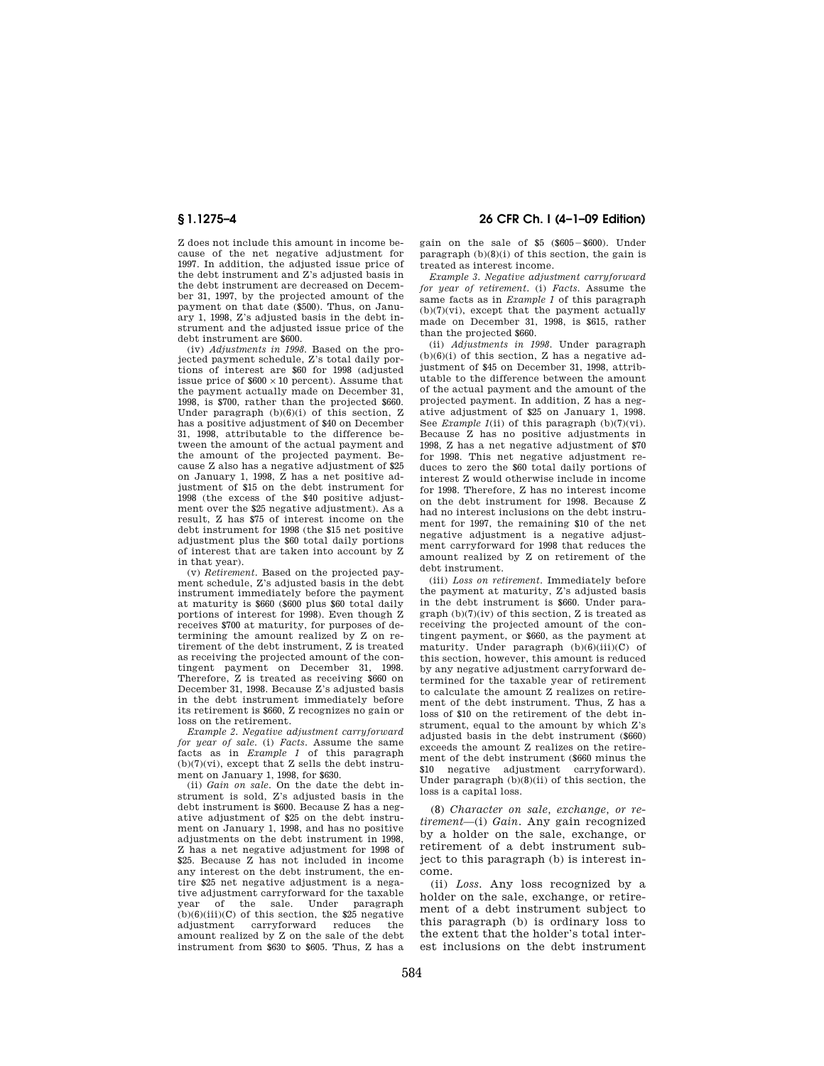Z does not include this amount in income because of the net negative adjustment for 1997. In addition, the adjusted issue price of the debt instrument and Z's adjusted basis in the debt instrument are decreased on December 31, 1997, by the projected amount of the payment on that date (\$500). Thus, on January 1, 1998, Z's adjusted basis in the debt instrument and the adjusted issue price of the debt instrument are \$600.

(iv) *Adjustments in 1998.* Based on the projected payment schedule, Z's total daily portions of interest are \$60 for 1998 (adjusted issue price of  $$600 \times 10$  percent). Assume that the payment actually made on December 31, 1998, is \$700, rather than the projected \$660. Under paragraph  $(b)(6)(i)$  of this section, Z has a positive adjustment of \$40 on December 31, 1998, attributable to the difference between the amount of the actual payment and the amount of the projected payment. Because Z also has a negative adjustment of \$25 on January 1, 1998, Z has a net positive adjustment of \$15 on the debt instrument for 1998 (the excess of the \$40 positive adjustment over the \$25 negative adjustment). As a result, Z has \$75 of interest income on the debt instrument for 1998 (the \$15 net positive adjustment plus the \$60 total daily portions of interest that are taken into account by Z in that year).

(v) *Retirement.* Based on the projected payment schedule, Z's adjusted basis in the debt instrument immediately before the payment at maturity is \$660 (\$600 plus \$60 total daily portions of interest for 1998). Even though Z receives \$700 at maturity, for purposes of determining the amount realized by Z on retirement of the debt instrument, Z is treated as receiving the projected amount of the contingent payment on December 31, 1998. Therefore, Z is treated as receiving \$660 on December 31, 1998. Because Z's adjusted basis in the debt instrument immediately before its retirement is \$660, Z recognizes no gain or loss on the retirement.

*Example 2. Negative adjustment carryforward for year of sale.* (i) *Facts.* Assume the same facts as in *Example 1* of this paragraph  $(b)(7)(vi)$ , except that Z sells the debt instrument on January 1, 1998, for \$630.

(ii) *Gain on sale.* On the date the debt instrument is sold, Z's adjusted basis in the debt instrument is \$600. Because Z has a negative adjustment of \$25 on the debt instrument on January 1, 1998, and has no positive adjustments on the debt instrument in 1998, Z has a net negative adjustment for 1998 of \$25. Because Z has not included in income any interest on the debt instrument, the entire \$25 net negative adjustment is a negative adjustment carryforward for the taxable year of the sale. Under paragraph  $(b)(6)(iii)(C)$  of this section, the \$25 negative adjustment carryforward reduces the amount realized by Z on the sale of the debt instrument from \$630 to \$605. Thus, Z has a

## **§ 1.1275–4 26 CFR Ch. I (4–1–09 Edition)**

gain on the sale of  $$5$   $$605-$8600$ . Under paragraph  $(b)(8)(i)$  of this section, the gain is treated as interest income.

*Example 3. Negative adjustment carryforward for year of retirement.* (i) *Facts.* Assume the same facts as in *Example 1* of this paragraph (b)(7)(vi), except that the payment actually made on December 31, 1998, is \$615, rather than the projected \$660.

(ii) *Adjustments in 1998.* Under paragraph  $(b)(6)(i)$  of this section, Z has a negative adjustment of \$45 on December 31, 1998, attributable to the difference between the amount of the actual payment and the amount of the projected payment. In addition, Z has a negative adjustment of \$25 on January 1, 1998. See *Example 1*(ii) of this paragraph (b)(7)(vi). Because Z has no positive adjustments in 1998, Z has a net negative adjustment of \$70 for 1998. This net negative adjustment reduces to zero the \$60 total daily portions of interest Z would otherwise include in income for 1998. Therefore, Z has no interest income on the debt instrument for 1998. Because Z had no interest inclusions on the debt instrument for 1997, the remaining \$10 of the net negative adjustment is a negative adjustment carryforward for 1998 that reduces the amount realized by Z on retirement of the debt instrument.

(iii) *Loss on retirement.* Immediately before the payment at maturity, Z's adjusted basis in the debt instrument is \$660. Under paragraph (b)(7)(iv) of this section, Z is treated as receiving the projected amount of the contingent payment, or \$660, as the payment at maturity. Under paragraph  $(b)(6)(iii)(C)$  of this section, however, this amount is reduced by any negative adjustment carryforward determined for the taxable year of retirement to calculate the amount Z realizes on retirement of the debt instrument. Thus, Z has a loss of \$10 on the retirement of the debt instrument, equal to the amount by which Z's adjusted basis in the debt instrument (\$660) exceeds the amount Z realizes on the retirement of the debt instrument (\$660 minus the \$10 negative adjustment carryforward). Under paragraph  $(b)(8)(ii)$  of this section, the loss is a capital loss.

(8) *Character on sale, exchange, or retirement*—(i) *Gain.* Any gain recognized by a holder on the sale, exchange, or retirement of a debt instrument subject to this paragraph (b) is interest income.

(ii) *Loss.* Any loss recognized by a holder on the sale, exchange, or retirement of a debt instrument subject to this paragraph (b) is ordinary loss to the extent that the holder's total interest inclusions on the debt instrument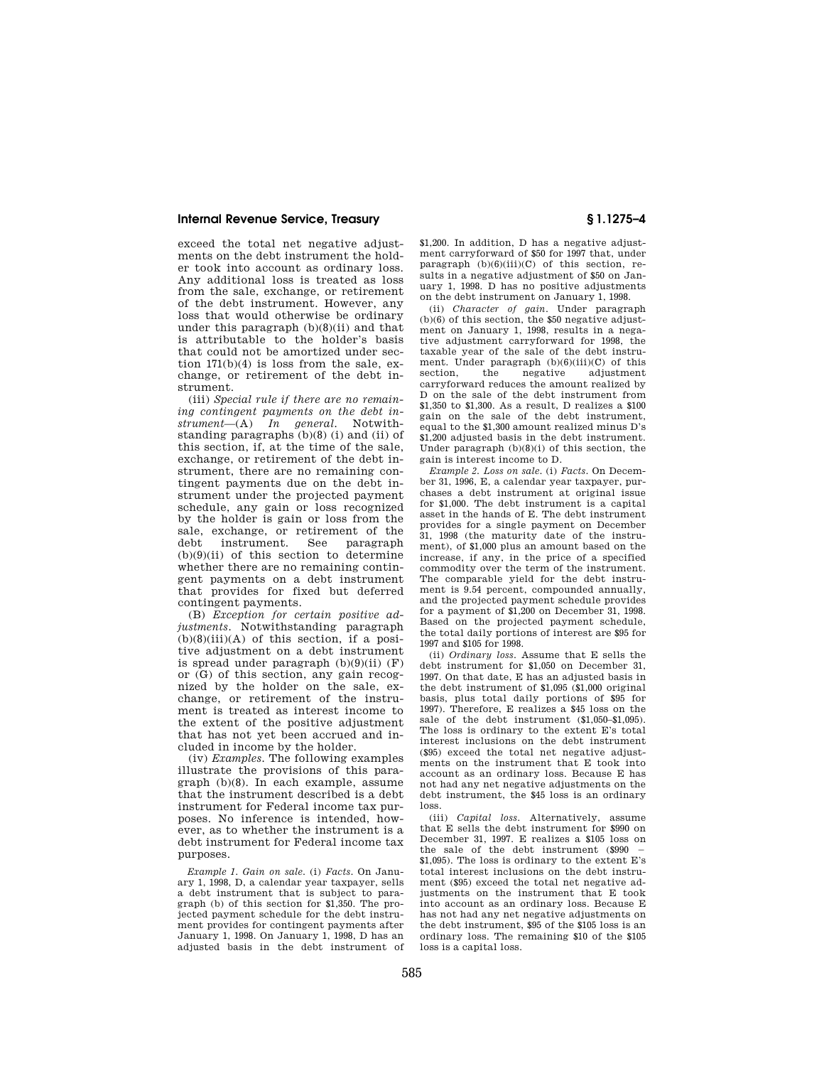exceed the total net negative adjustments on the debt instrument the holder took into account as ordinary loss. Any additional loss is treated as loss from the sale, exchange, or retirement of the debt instrument. However, any loss that would otherwise be ordinary under this paragraph (b)(8)(ii) and that is attributable to the holder's basis that could not be amortized under section 171(b)(4) is loss from the sale, exchange, or retirement of the debt instrument.

(iii) *Special rule if there are no remaining contingent payments on the debt instrument*—(A) *In general.* Notwithstanding paragraphs (b)(8) (i) and (ii) of this section, if, at the time of the sale, exchange, or retirement of the debt instrument, there are no remaining contingent payments due on the debt instrument under the projected payment schedule, any gain or loss recognized by the holder is gain or loss from the sale, exchange, or retirement of the debt instrument. See paragraph  $(b)(9)(ii)$  of this section to determine whether there are no remaining contingent payments on a debt instrument that provides for fixed but deferred contingent payments.

(B) *Exception for certain positive adjustments.* Notwithstanding paragraph  $(b)(8)(iii)(A)$  of this section, if a positive adjustment on a debt instrument is spread under paragraph (b)(9)(ii) (F) or (G) of this section, any gain recognized by the holder on the sale, exchange, or retirement of the instrument is treated as interest income to the extent of the positive adjustment that has not yet been accrued and included in income by the holder.

(iv) *Examples.* The following examples illustrate the provisions of this paragraph (b)(8). In each example, assume that the instrument described is a debt instrument for Federal income tax purposes. No inference is intended, however, as to whether the instrument is a debt instrument for Federal income tax purposes.

*Example 1. Gain on sale.* (i) *Facts.* On January 1, 1998, D, a calendar year taxpayer, sells a debt instrument that is subject to paragraph (b) of this section for \$1,350. The projected payment schedule for the debt instrument provides for contingent payments after January 1, 1998. On January 1, 1998, D has an adjusted basis in the debt instrument of

\$1,200. In addition, D has a negative adjustment carryforward of \$50 for 1997 that, under paragraph  $(b)(6)(iii)(C)$  of this section, results in a negative adjustment of \$50 on January 1, 1998. D has no positive adjustments on the debt instrument on January 1, 1998.

(ii) *Character of gain.* Under paragraph (b)(6) of this section, the \$50 negative adjustment on January 1, 1998, results in a negative adjustment carryforward for 1998, the taxable year of the sale of the debt instrument. Under paragraph  $(b)(6)(iii)(C)$  of this section, the negative adjustment adjustment carryforward reduces the amount realized by D on the sale of the debt instrument from \$1,350 to \$1,300. As a result, D realizes a \$100 gain on the sale of the debt instrument, equal to the \$1,300 amount realized minus D's \$1,200 adjusted basis in the debt instrument. Under paragraph (b)(8)(i) of this section, the gain is interest income to D.

*Example 2. Loss on sale.* (i) *Facts.* On December 31, 1996, E, a calendar year taxpayer, purchases a debt instrument at original issue for \$1,000. The debt instrument is a capital asset in the hands of E. The debt instrument provides for a single payment on December 31, 1998 (the maturity date of the instrument), of \$1,000 plus an amount based on the increase, if any, in the price of a specified commodity over the term of the instrument. The comparable yield for the debt instrument is 9.54 percent, compounded annually, and the projected payment schedule provides for a payment of \$1,200 on December 31, 1998. Based on the projected payment schedule, the total daily portions of interest are \$95 for 1997 and \$105 for 1998.

(ii) *Ordinary loss.* Assume that E sells the debt instrument for \$1,050 on December 31, 1997. On that date, E has an adjusted basis in the debt instrument of \$1,095 (\$1,000 original basis, plus total daily portions of \$95 for 1997). Therefore, E realizes a \$45 loss on the sale of the debt instrument (\$1,050–\$1,095). The loss is ordinary to the extent E's total interest inclusions on the debt instrument (\$95) exceed the total net negative adjustments on the instrument that E took into account as an ordinary loss. Because E has not had any net negative adjustments on the debt instrument, the \$45 loss is an ordinary loss.

(iii) *Capital loss.* Alternatively, assume that E sells the debt instrument for \$990 on December 31, 1997. E realizes a \$105 loss on the sale of the debt instrument (\$990 \$1,095). The loss is ordinary to the extent E's total interest inclusions on the debt instrument (\$95) exceed the total net negative adjustments on the instrument that E took into account as an ordinary loss. Because E has not had any net negative adjustments on the debt instrument, \$95 of the \$105 loss is an ordinary loss. The remaining \$10 of the \$105 loss is a capital loss.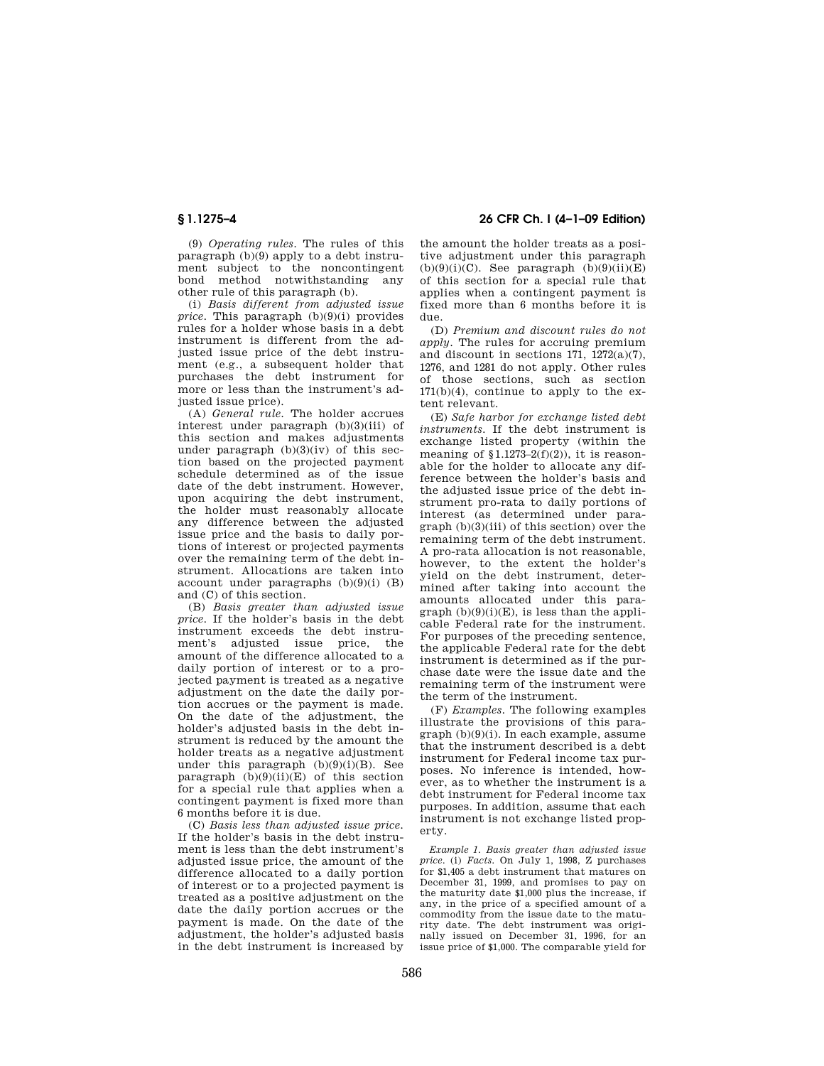(9) *Operating rules.* The rules of this paragraph (b)(9) apply to a debt instrument subject to the noncontingent bond method notwithstanding any other rule of this paragraph (b).

(i) *Basis different from adjusted issue price.* This paragraph (b)(9)(i) provides rules for a holder whose basis in a debt instrument is different from the adjusted issue price of the debt instrument (e.g., a subsequent holder that purchases the debt instrument for more or less than the instrument's adjusted issue price).

(A) *General rule.* The holder accrues interest under paragraph (b)(3)(iii) of this section and makes adjustments under paragraph (b)(3)(iv) of this section based on the projected payment schedule determined as of the issue date of the debt instrument. However, upon acquiring the debt instrument, the holder must reasonably allocate any difference between the adjusted issue price and the basis to daily portions of interest or projected payments over the remaining term of the debt instrument. Allocations are taken into account under paragraphs  $(b)(9)(i)$   $(B)$ and (C) of this section.

(B) *Basis greater than adjusted issue price.* If the holder's basis in the debt instrument exceeds the debt instrument's adjusted issue price, the amount of the difference allocated to a daily portion of interest or to a projected payment is treated as a negative adjustment on the date the daily portion accrues or the payment is made. On the date of the adjustment, the holder's adjusted basis in the debt instrument is reduced by the amount the holder treats as a negative adjustment under this paragraph  $(b)(9)(i)(B)$ . See paragraph  $(b)(9)(ii)(E)$  of this section for a special rule that applies when a contingent payment is fixed more than 6 months before it is due.

(C) *Basis less than adjusted issue price.*  If the holder's basis in the debt instrument is less than the debt instrument's adjusted issue price, the amount of the difference allocated to a daily portion of interest or to a projected payment is treated as a positive adjustment on the date the daily portion accrues or the payment is made. On the date of the adjustment, the holder's adjusted basis in the debt instrument is increased by

## **§ 1.1275–4 26 CFR Ch. I (4–1–09 Edition)**

the amount the holder treats as a positive adjustment under this paragraph  $(b)(9)(i)(C)$ . See paragraph  $(b)(9)(ii)(E)$ of this section for a special rule that applies when a contingent payment is fixed more than 6 months before it is due.

(D) *Premium and discount rules do not apply.* The rules for accruing premium and discount in sections 171, 1272(a)(7), 1276, and 1281 do not apply. Other rules of those sections, such as section 171(b)(4), continue to apply to the extent relevant.

(E) *Safe harbor for exchange listed debt instruments.* If the debt instrument is exchange listed property (within the meaning of  $$1.1273-2(f)(2)$ , it is reasonable for the holder to allocate any difference between the holder's basis and the adjusted issue price of the debt instrument pro-rata to daily portions of interest (as determined under paragraph (b)(3)(iii) of this section) over the remaining term of the debt instrument. A pro-rata allocation is not reasonable, however, to the extent the holder's yield on the debt instrument, determined after taking into account the amounts allocated under this para $graph (b)(9)(i)(E)$ , is less than the applicable Federal rate for the instrument. For purposes of the preceding sentence, the applicable Federal rate for the debt instrument is determined as if the purchase date were the issue date and the remaining term of the instrument were the term of the instrument.

(F) *Examples.* The following examples illustrate the provisions of this paragraph (b)(9)(i). In each example, assume that the instrument described is a debt instrument for Federal income tax purposes. No inference is intended, however, as to whether the instrument is a debt instrument for Federal income tax purposes. In addition, assume that each instrument is not exchange listed property.

*Example 1. Basis greater than adjusted issue price.* (i) *Facts.* On July 1, 1998, Z purchases for \$1,405 a debt instrument that matures on December 31, 1999, and promises to pay on the maturity date \$1,000 plus the increase, if any, in the price of a specified amount of a commodity from the issue date to the maturity date. The debt instrument was originally issued on December 31, 1996, for an issue price of \$1,000. The comparable yield for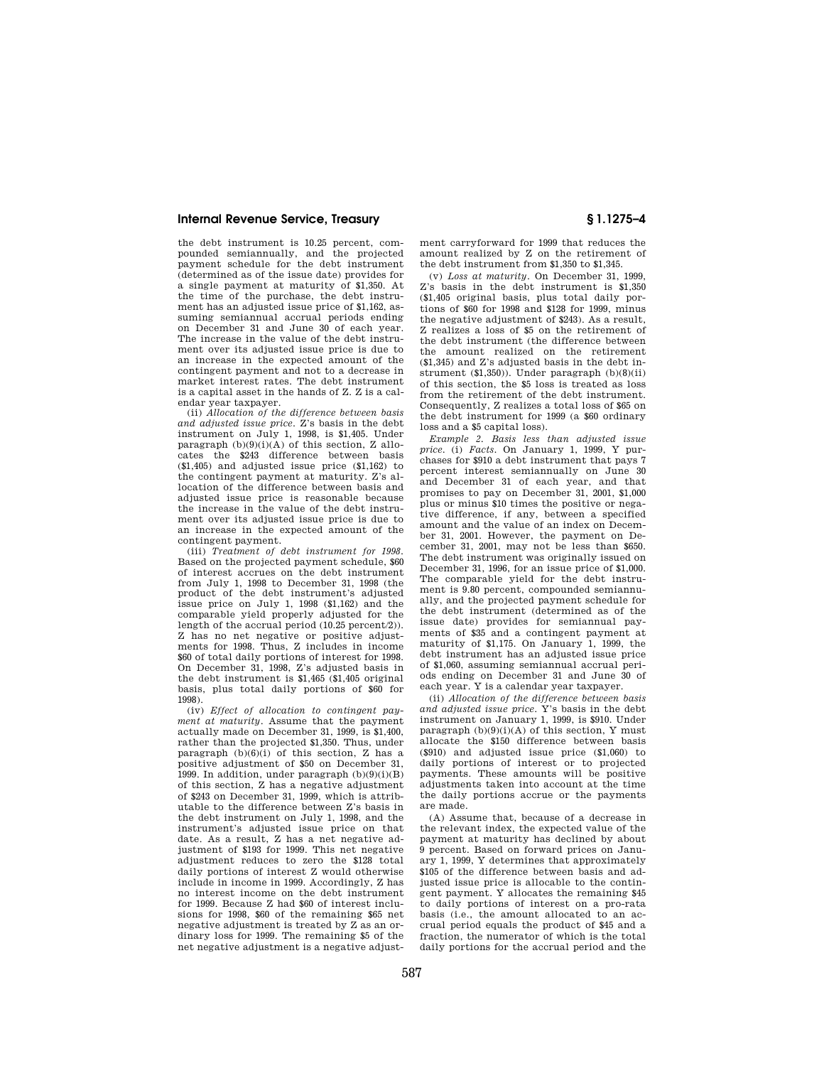the debt instrument is 10.25 percent, compounded semiannually, and the projected payment schedule for the debt instrument (determined as of the issue date) provides for a single payment at maturity of \$1,350. At the time of the purchase, the debt instrument has an adjusted issue price of \$1,162, assuming semiannual accrual periods ending on December 31 and June 30 of each year. The increase in the value of the debt instrument over its adjusted issue price is due to an increase in the expected amount of the contingent payment and not to a decrease in market interest rates. The debt instrument is a capital asset in the hands of Z. Z is a calendar year taxpayer.

(ii) *Allocation of the difference between basis and adjusted issue price.* Z's basis in the debt instrument on July 1, 1998, is \$1,405. Under paragraph  $(b)(9)(i)(A)$  of this section, Z allocates the \$243 difference between basis (\$1,405) and adjusted issue price (\$1,162) to the contingent payment at maturity. Z's allocation of the difference between basis and adjusted issue price is reasonable because the increase in the value of the debt instrument over its adjusted issue price is due to an increase in the expected amount of the contingent payment.

(iii) *Treatment of debt instrument for 1998.*  Based on the projected payment schedule, \$60 of interest accrues on the debt instrument from July 1, 1998 to December 31, 1998 (the product of the debt instrument's adjusted issue price on July 1, 1998 (\$1,162) and the comparable yield properly adjusted for the length of the accrual period (10.25 percent/2)). Z has no net negative or positive adjustments for 1998. Thus, Z includes in income \$60 of total daily portions of interest for 1998. On December 31, 1998, Z's adjusted basis in the debt instrument is \$1,465 (\$1,405 original basis, plus total daily portions of \$60 for 1998).

(iv) *Effect of allocation to contingent payment at maturity.* Assume that the payment actually made on December 31, 1999, is \$1,400, rather than the projected \$1,350. Thus, under paragraph  $(b)(6)(i)$  of this section, Z has a positive adjustment of \$50 on December 31, 1999. In addition, under paragraph  $(b)(9)(i)(B)$ of this section, Z has a negative adjustment of \$243 on December 31, 1999, which is attributable to the difference between Z's basis in the debt instrument on July 1, 1998, and the instrument's adjusted issue price on that date. As a result, Z has a net negative adjustment of \$193 for 1999. This net negative adjustment reduces to zero the \$128 total daily portions of interest Z would otherwise include in income in 1999. Accordingly, Z has no interest income on the debt instrument for 1999. Because Z had \$60 of interest inclusions for 1998, \$60 of the remaining \$65 net negative adjustment is treated by Z as an ordinary loss for 1999. The remaining \$5 of the net negative adjustment is a negative adjust-

ment carryforward for 1999 that reduces the amount realized by Z on the retirement of the debt instrument from \$1,350 to \$1,345.

(v) *Loss at maturity.* On December 31, 1999, Z's basis in the debt instrument is \$1,350 (\$1,405 original basis, plus total daily portions of \$60 for 1998 and \$128 for 1999, minus the negative adjustment of \$243). As a result, Z realizes a loss of \$5 on the retirement of the debt instrument (the difference between the amount realized on the retirement (\$1,345) and Z's adjusted basis in the debt instrument  $(\$1,350)$ ). Under paragraph  $(b)(8)(ii)$ of this section, the \$5 loss is treated as loss from the retirement of the debt instrument. Consequently, Z realizes a total loss of \$65 on the debt instrument for 1999 (a \$60 ordinary loss and a \$5 capital loss).

*Example 2. Basis less than adjusted issue price.* (i) *Facts.* On January 1, 1999, Y purchases for \$910 a debt instrument that pays 7 percent interest semiannually on June 30 and December 31 of each year, and that promises to pay on December 31, 2001, \$1,000 plus or minus \$10 times the positive or negative difference, if any, between a specified amount and the value of an index on December 31, 2001. However, the payment on December 31, 2001, may not be less than \$650. The debt instrument was originally issued on December 31, 1996, for an issue price of \$1,000. The comparable yield for the debt instrument is 9.80 percent, compounded semiannually, and the projected payment schedule for the debt instrument (determined as of the issue date) provides for semiannual payments of \$35 and a contingent payment at maturity of \$1,175. On January 1, 1999, the debt instrument has an adjusted issue price of \$1,060, assuming semiannual accrual periods ending on December 31 and June 30 of each year. Y is a calendar year taxpayer.

(ii) *Allocation of the difference between basis and adjusted issue price.* Y's basis in the debt instrument on January 1, 1999, is \$910. Under paragraph  $(b)(9)(i)(A)$  of this section, Y must allocate the \$150 difference between basis (\$910) and adjusted issue price (\$1,060) to daily portions of interest or to projected payments. These amounts will be positive adjustments taken into account at the time the daily portions accrue or the payments are made.

(A) Assume that, because of a decrease in the relevant index, the expected value of the payment at maturity has declined by about 9 percent. Based on forward prices on January 1, 1999, Y determines that approximately \$105 of the difference between basis and adjusted issue price is allocable to the contingent payment. Y allocates the remaining \$45 to daily portions of interest on a pro-rata basis (i.e., the amount allocated to an accrual period equals the product of \$45 and a fraction, the numerator of which is the total daily portions for the accrual period and the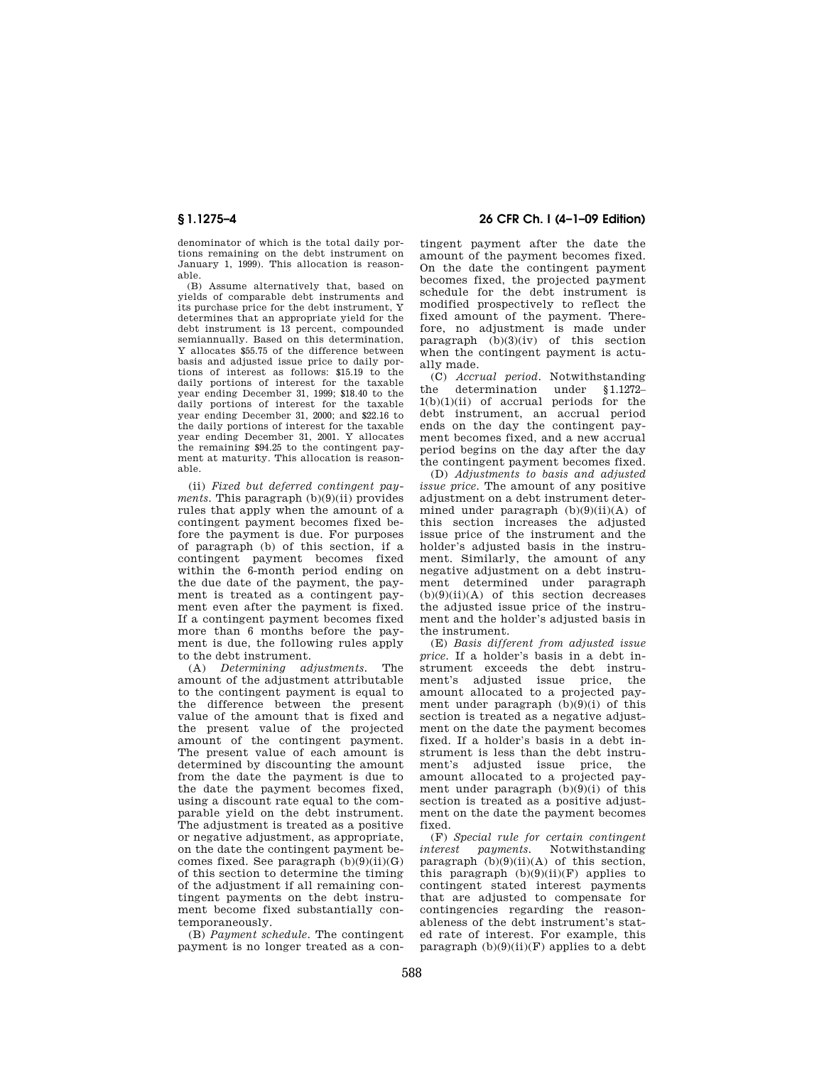denominator of which is the total daily portions remaining on the debt instrument on January 1, 1999). This allocation is reasonable.

(B) Assume alternatively that, based on yields of comparable debt instruments and its purchase price for the debt instrument, Y determines that an appropriate yield for the debt instrument is 13 percent, compounded semiannually. Based on this determination, Y allocates \$55.75 of the difference between basis and adjusted issue price to daily portions of interest as follows: \$15.19 to the daily portions of interest for the taxable year ending December 31, 1999; \$18.40 to the daily portions of interest for the taxable year ending December 31, 2000; and \$22.16 to the daily portions of interest for the taxable year ending December 31, 2001. Y allocates the remaining \$94.25 to the contingent payment at maturity. This allocation is reasonable.

(ii) *Fixed but deferred contingent payments.* This paragraph (b)(9)(ii) provides rules that apply when the amount of a contingent payment becomes fixed before the payment is due. For purposes of paragraph (b) of this section, if a contingent payment becomes fixed within the 6-month period ending on the due date of the payment, the payment is treated as a contingent payment even after the payment is fixed. If a contingent payment becomes fixed more than 6 months before the payment is due, the following rules apply to the debt instrument.

(A) *Determining adjustments.* The amount of the adjustment attributable to the contingent payment is equal to the difference between the present value of the amount that is fixed and the present value of the projected amount of the contingent payment. The present value of each amount is determined by discounting the amount from the date the payment is due to the date the payment becomes fixed, using a discount rate equal to the comparable yield on the debt instrument. The adjustment is treated as a positive or negative adjustment, as appropriate, on the date the contingent payment becomes fixed. See paragraph  $(b)(9)(ii)(G)$ of this section to determine the timing of the adjustment if all remaining contingent payments on the debt instrument become fixed substantially contemporaneously.

(B) *Payment schedule.* The contingent payment is no longer treated as a con-

**§ 1.1275–4 26 CFR Ch. I (4–1–09 Edition)** 

tingent payment after the date the amount of the payment becomes fixed. On the date the contingent payment becomes fixed, the projected payment schedule for the debt instrument is modified prospectively to reflect the fixed amount of the payment. Therefore, no adjustment is made under paragraph (b)(3)(iv) of this section when the contingent payment is actually made.

(C) *Accrual period.* Notwithstanding the determination under §1.1272– 1(b)(1)(ii) of accrual periods for the debt instrument, an accrual period ends on the day the contingent payment becomes fixed, and a new accrual period begins on the day after the day the contingent payment becomes fixed.

(D) *Adjustments to basis and adjusted issue price.* The amount of any positive adjustment on a debt instrument determined under paragraph  $(b)(9)(ii)(A)$  of this section increases the adjusted issue price of the instrument and the holder's adjusted basis in the instrument. Similarly, the amount of any negative adjustment on a debt instrument determined under paragraph  $(b)(9)(ii)(A)$  of this section decreases the adjusted issue price of the instrument and the holder's adjusted basis in the instrument.

(E) *Basis different from adjusted issue price.* If a holder's basis in a debt instrument exceeds the debt instrument's adjusted issue price, the amount allocated to a projected payment under paragraph  $(b)(9)(i)$  of this section is treated as a negative adjustment on the date the payment becomes fixed. If a holder's basis in a debt instrument is less than the debt instrument's adjusted issue price, the amount allocated to a projected payment under paragraph  $(b)(9)(i)$  of this section is treated as a positive adjustment on the date the payment becomes fixed.

(F) *Special rule for certain contingent interest payments.* Notwithstanding paragraph  $(b)(9)(ii)(A)$  of this section. this paragraph  $(b)(9)(ii)(F)$  applies to contingent stated interest payments that are adjusted to compensate for contingencies regarding the reasonableness of the debt instrument's stated rate of interest. For example, this paragraph  $(b)(9)(ii)(F)$  applies to a debt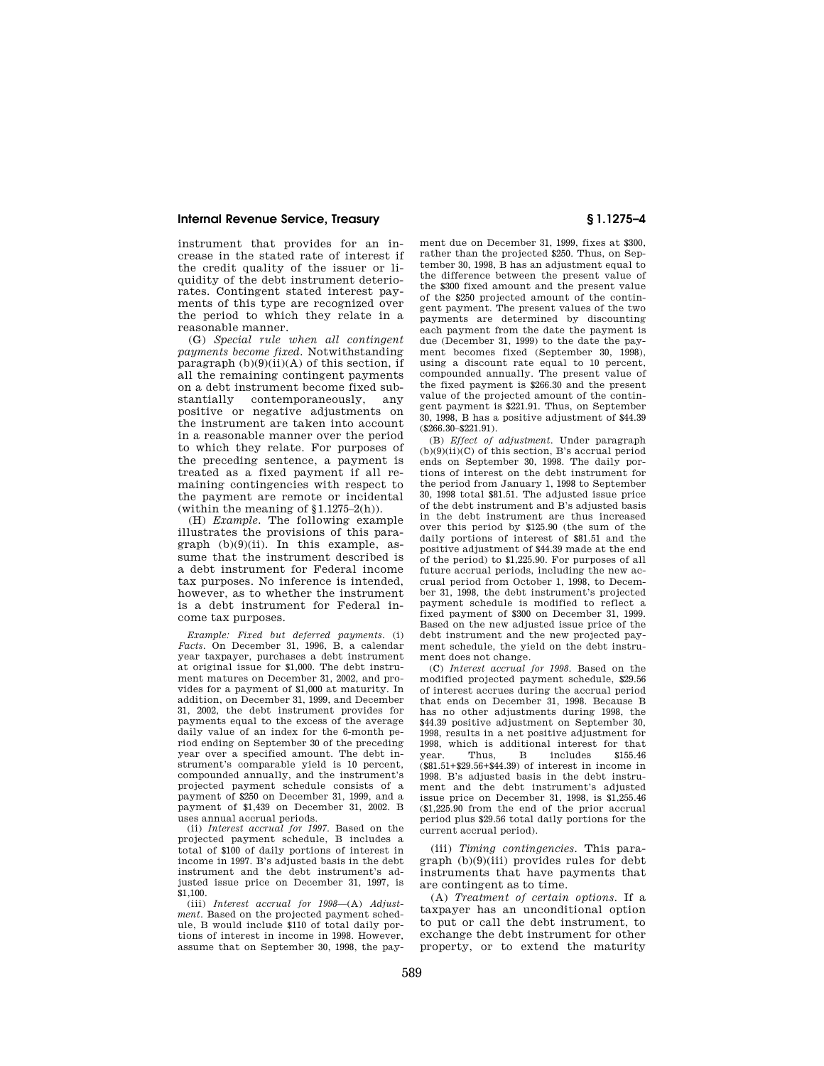instrument that provides for an increase in the stated rate of interest if the credit quality of the issuer or liquidity of the debt instrument deteriorates. Contingent stated interest payments of this type are recognized over the period to which they relate in a reasonable manner.

(G) *Special rule when all contingent payments become fixed.* Notwithstanding paragraph  $(b)(9)(ii)(A)$  of this section, if all the remaining contingent payments on a debt instrument become fixed substantially contemporaneously, any positive or negative adjustments on the instrument are taken into account in a reasonable manner over the period to which they relate. For purposes of the preceding sentence, a payment is treated as a fixed payment if all remaining contingencies with respect to the payment are remote or incidental (within the meaning of  $(1.1275-2(h))$ .

(H) *Example.* The following example illustrates the provisions of this paragraph (b)(9)(ii). In this example, assume that the instrument described is a debt instrument for Federal income tax purposes. No inference is intended, however, as to whether the instrument is a debt instrument for Federal income tax purposes.

*Example: Fixed but deferred payments.* (i) *Facts.* On December 31, 1996, B, a calendar year taxpayer, purchases a debt instrument at original issue for \$1,000. The debt instrument matures on December 31, 2002, and provides for a payment of \$1,000 at maturity. In addition, on December 31, 1999, and December 31, 2002, the debt instrument provides for payments equal to the excess of the average daily value of an index for the 6-month period ending on September 30 of the preceding year over a specified amount. The debt instrument's comparable yield is 10 percent, compounded annually, and the instrument's projected payment schedule consists of a payment of \$250 on December 31, 1999, and a payment of \$1,439 on December 31, 2002. B uses annual accrual periods.

(ii) *Interest accrual for 1997.* Based on the projected payment schedule, B includes a total of \$100 of daily portions of interest in income in 1997. B's adjusted basis in the debt instrument and the debt instrument's adjusted issue price on December 31, 1997, is \$1,100.

(iii) *Interest accrual for 1998*—(A) *Adjustment.* Based on the projected payment schedule, B would include \$110 of total daily portions of interest in income in 1998. However, assume that on September 30, 1998, the pay-

ment due on December 31, 1999, fixes at \$300, rather than the projected \$250. Thus, on September 30, 1998, B has an adjustment equal to the difference between the present value of the \$300 fixed amount and the present value of the \$250 projected amount of the contingent payment. The present values of the two payments are determined by discounting each payment from the date the payment is due (December 31, 1999) to the date the payment becomes fixed (September 30, 1998), using a discount rate equal to 10 percent, compounded annually. The present value of the fixed payment is \$266.30 and the present value of the projected amount of the contingent payment is \$221.91. Thus, on September 30, 1998, B has a positive adjustment of \$44.39 (\$266.30–\$221.91).

(B) *Effect of adjustment.* Under paragraph  $(b)(9)(ii)(C)$  of this section, B's accrual period ends on September 30, 1998. The daily portions of interest on the debt instrument for the period from January 1, 1998 to September 30, 1998 total \$81.51. The adjusted issue price of the debt instrument and B's adjusted basis in the debt instrument are thus increased over this period by \$125.90 (the sum of the daily portions of interest of \$81.51 and the positive adjustment of \$44.39 made at the end of the period) to \$1,225.90. For purposes of all future accrual periods, including the new accrual period from October 1, 1998, to December 31, 1998, the debt instrument's projected payment schedule is modified to reflect a fixed payment of \$300 on December 31, 1999. Based on the new adjusted issue price of the debt instrument and the new projected payment schedule, the yield on the debt instrument does not change.

(C) *Interest accrual for 1998.* Based on the modified projected payment schedule, \$29.56 of interest accrues during the accrual period that ends on December 31, 1998. Because B has no other adjustments during 1998, the \$44.39 positive adjustment on September 30, 1998, results in a net positive adjustment for 1998, which is additional interest for that year. Thus, B includes \$155.46 (\$81.51+\$29.56+\$44.39) of interest in income in 1998. B's adjusted basis in the debt instrument and the debt instrument's adjusted issue price on December 31, 1998, is \$1,255.46 (\$1,225.90 from the end of the prior accrual period plus \$29.56 total daily portions for the current accrual period).

(iii) *Timing contingencies.* This paragraph (b)(9)(iii) provides rules for debt instruments that have payments that are contingent as to time.

(A) *Treatment of certain options.* If a taxpayer has an unconditional option to put or call the debt instrument, to exchange the debt instrument for other property, or to extend the maturity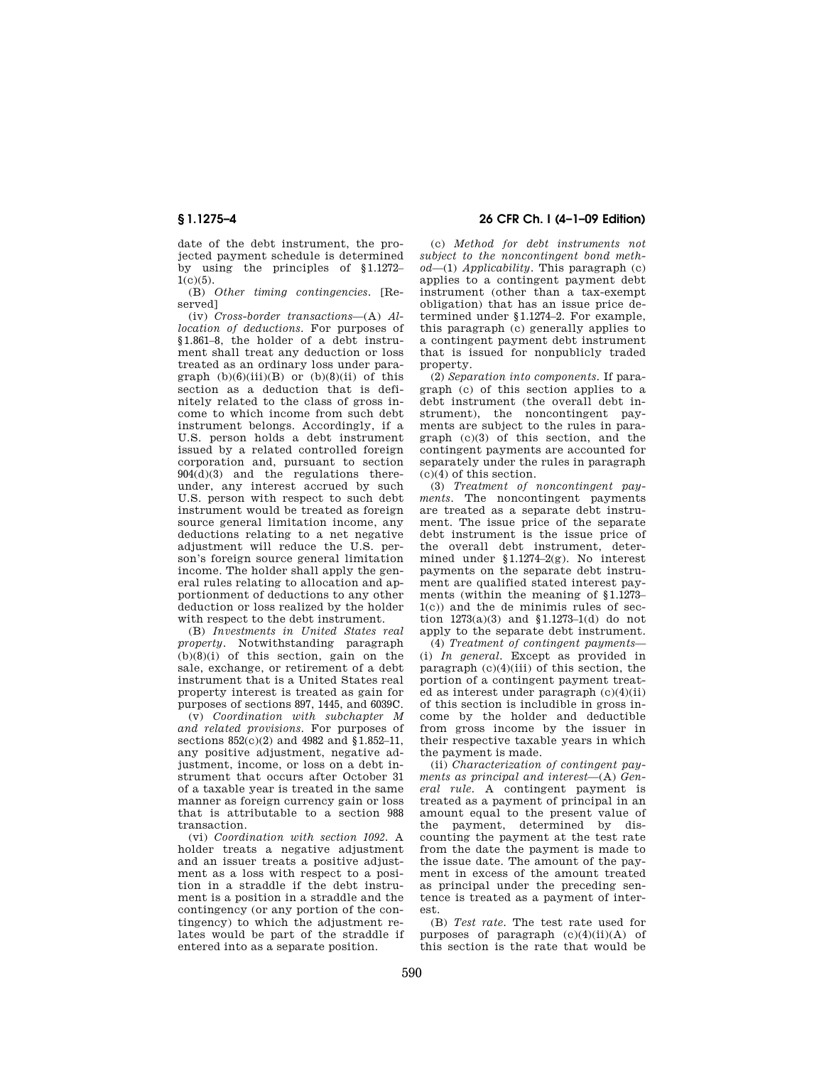date of the debt instrument, the projected payment schedule is determined by using the principles of §1.1272–  $1(c)(5)$ .

(B) *Other timing contingencies.* [Reserved]

(iv) *Cross-border transactions*—(A) *Allocation of deductions.* For purposes of §1.861–8, the holder of a debt instrument shall treat any deduction or loss treated as an ordinary loss under paragraph  $(b)(6)(iii)(B)$  or  $(b)(8)(ii)$  of this section as a deduction that is definitely related to the class of gross income to which income from such debt instrument belongs. Accordingly, if a U.S. person holds a debt instrument issued by a related controlled foreign corporation and, pursuant to section  $904(d)(3)$  and the regulations thereunder, any interest accrued by such U.S. person with respect to such debt instrument would be treated as foreign source general limitation income, any deductions relating to a net negative adjustment will reduce the U.S. person's foreign source general limitation income. The holder shall apply the general rules relating to allocation and apportionment of deductions to any other deduction or loss realized by the holder with respect to the debt instrument.

(B) *Investments in United States real property.* Notwithstanding paragraph  $(b)(8)(i)$  of this section, gain on the sale, exchange, or retirement of a debt instrument that is a United States real property interest is treated as gain for purposes of sections 897, 1445, and 6039C.

(v) *Coordination with subchapter M and related provisions.* For purposes of sections  $852(c)(2)$  and  $4982$  and  $\overline{$1.852-11}$ , any positive adjustment, negative adjustment, income, or loss on a debt instrument that occurs after October 31 of a taxable year is treated in the same manner as foreign currency gain or loss that is attributable to a section 988 transaction.

(vi) *Coordination with section 1092.* A holder treats a negative adjustment and an issuer treats a positive adjustment as a loss with respect to a position in a straddle if the debt instrument is a position in a straddle and the contingency (or any portion of the contingency) to which the adjustment relates would be part of the straddle if entered into as a separate position.

# **§ 1.1275–4 26 CFR Ch. I (4–1–09 Edition)**

(c) *Method for debt instruments not subject to the noncontingent bond method*—(1) *Applicability.* This paragraph (c) applies to a contingent payment debt instrument (other than a tax-exempt obligation) that has an issue price determined under §1.1274–2. For example, this paragraph (c) generally applies to a contingent payment debt instrument that is issued for nonpublicly traded property.

(2) *Separation into components.* If paragraph (c) of this section applies to a debt instrument (the overall debt instrument), the noncontingent payments are subject to the rules in paragraph (c)(3) of this section, and the contingent payments are accounted for separately under the rules in paragraph  $(c)(4)$  of this section.

(3) *Treatment of noncontingent payments.* The noncontingent payments are treated as a separate debt instrument. The issue price of the separate debt instrument is the issue price of the overall debt instrument, determined under §1.1274–2(g). No interest payments on the separate debt instrument are qualified stated interest payments (within the meaning of §1.1273– 1(c)) and the de minimis rules of section 1273(a)(3) and §1.1273–1(d) do not apply to the separate debt instrument.

(4) *Treatment of contingent payments*— (i) *In general.* Except as provided in paragraph  $(c)(4)(iii)$  of this section, the portion of a contingent payment treated as interest under paragraph (c)(4)(ii) of this section is includible in gross income by the holder and deductible from gross income by the issuer in their respective taxable years in which the payment is made.

(ii) *Characterization of contingent payments as principal and interest*—(A) *General rule.* A contingent payment is treated as a payment of principal in an amount equal to the present value of the payment, determined by discounting the payment at the test rate from the date the payment is made to the issue date. The amount of the payment in excess of the amount treated as principal under the preceding sentence is treated as a payment of interest.

(B) *Test rate.* The test rate used for purposes of paragraph  $(c)(4)(ii)(A)$  of this section is the rate that would be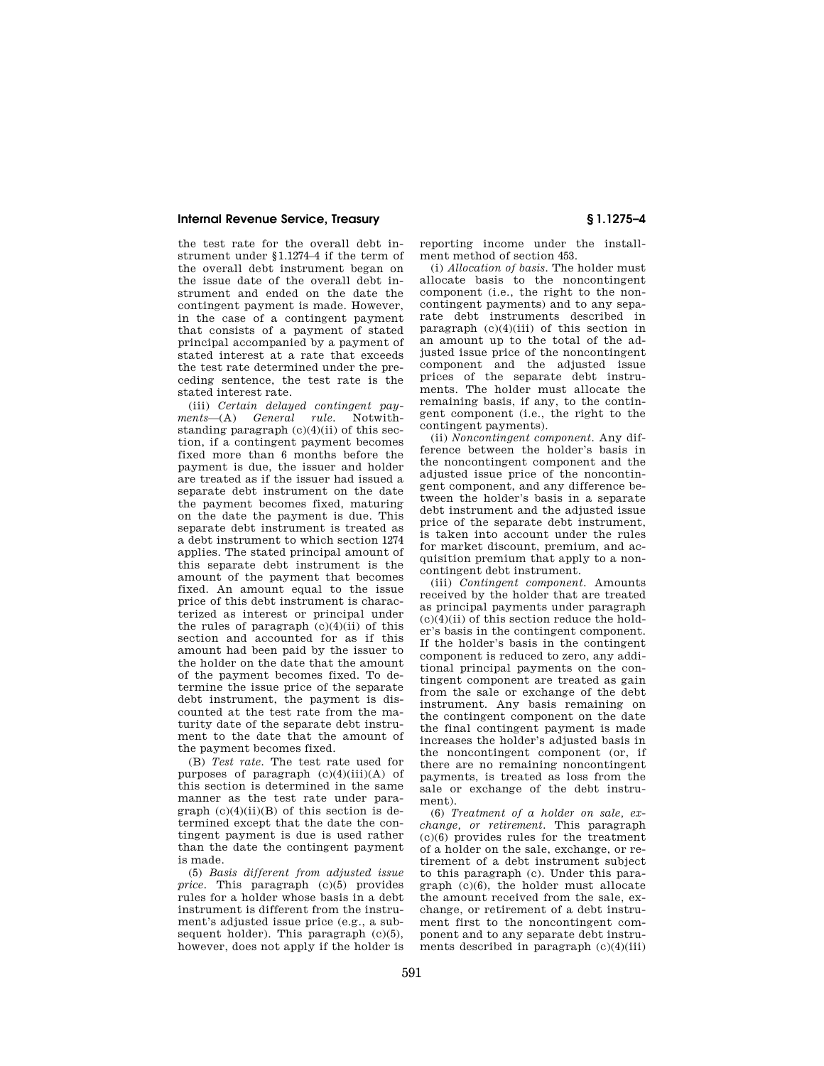the test rate for the overall debt instrument under §1.1274–4 if the term of the overall debt instrument began on the issue date of the overall debt instrument and ended on the date the contingent payment is made. However, in the case of a contingent payment that consists of a payment of stated principal accompanied by a payment of stated interest at a rate that exceeds the test rate determined under the preceding sentence, the test rate is the stated interest rate.

(iii) *Certain delayed contingent payments*—(A) *General rule.* Notwithstanding paragraph  $(c)(4)(ii)$  of this section, if a contingent payment becomes fixed more than 6 months before the payment is due, the issuer and holder are treated as if the issuer had issued a separate debt instrument on the date the payment becomes fixed, maturing on the date the payment is due. This separate debt instrument is treated as a debt instrument to which section 1274 applies. The stated principal amount of this separate debt instrument is the amount of the payment that becomes fixed. An amount equal to the issue price of this debt instrument is characterized as interest or principal under the rules of paragraph  $(c)(4)(ii)$  of this section and accounted for as if this amount had been paid by the issuer to the holder on the date that the amount of the payment becomes fixed. To determine the issue price of the separate debt instrument, the payment is discounted at the test rate from the maturity date of the separate debt instrument to the date that the amount of the payment becomes fixed.

(B) *Test rate.* The test rate used for purposes of paragraph  $(c)(4)(iii)(A)$  of this section is determined in the same manner as the test rate under paragraph  $(c)(4)(ii)(B)$  of this section is determined except that the date the contingent payment is due is used rather than the date the contingent payment is made.

(5) *Basis different from adjusted issue price.* This paragraph (c)(5) provides rules for a holder whose basis in a debt instrument is different from the instrument's adjusted issue price (e.g., a subsequent holder). This paragraph (c)(5), however, does not apply if the holder is reporting income under the installment method of section 453.

(i) *Allocation of basis.* The holder must allocate basis to the noncontingent component (i.e., the right to the noncontingent payments) and to any separate debt instruments described in paragraph  $(c)(4)(iii)$  of this section in an amount up to the total of the adjusted issue price of the noncontingent component and the adjusted issue prices of the separate debt instruments. The holder must allocate the remaining basis, if any, to the contingent component (i.e., the right to the contingent payments).

(ii) *Noncontingent component.* Any difference between the holder's basis in the noncontingent component and the adjusted issue price of the noncontingent component, and any difference between the holder's basis in a separate debt instrument and the adjusted issue price of the separate debt instrument, is taken into account under the rules for market discount, premium, and acquisition premium that apply to a noncontingent debt instrument.

(iii) *Contingent component.* Amounts received by the holder that are treated as principal payments under paragraph  $(c)(4)(ii)$  of this section reduce the holder's basis in the contingent component. If the holder's basis in the contingent component is reduced to zero, any additional principal payments on the contingent component are treated as gain from the sale or exchange of the debt instrument. Any basis remaining on the contingent component on the date the final contingent payment is made increases the holder's adjusted basis in the noncontingent component (or, if there are no remaining noncontingent payments, is treated as loss from the sale or exchange of the debt instrument).

(6) *Treatment of a holder on sale, exchange, or retirement.* This paragraph (c)(6) provides rules for the treatment of a holder on the sale, exchange, or retirement of a debt instrument subject to this paragraph (c). Under this paragraph (c)(6), the holder must allocate the amount received from the sale, exchange, or retirement of a debt instrument first to the noncontingent component and to any separate debt instruments described in paragraph  $(c)(4)(iii)$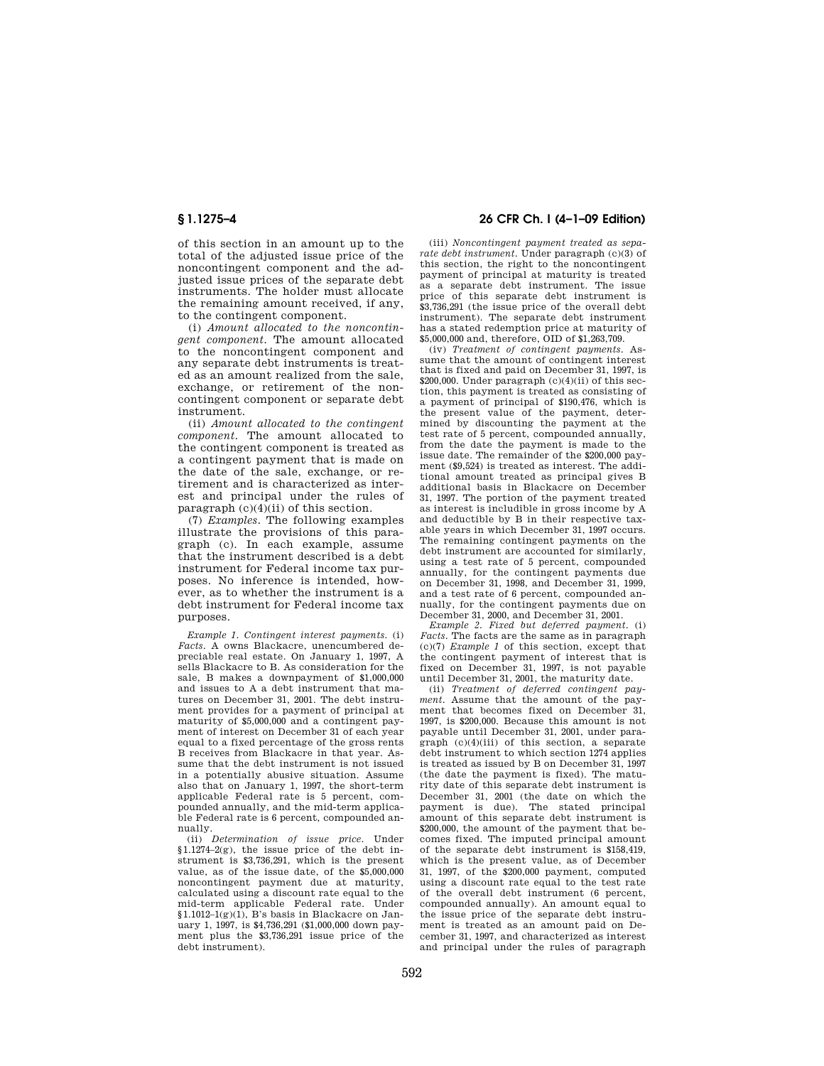of this section in an amount up to the total of the adjusted issue price of the noncontingent component and the adjusted issue prices of the separate debt instruments. The holder must allocate the remaining amount received, if any, to the contingent component.

(i) *Amount allocated to the noncontingent component.* The amount allocated to the noncontingent component and any separate debt instruments is treated as an amount realized from the sale, exchange, or retirement of the noncontingent component or separate debt instrument.

(ii) *Amount allocated to the contingent component.* The amount allocated to the contingent component is treated as a contingent payment that is made on the date of the sale, exchange, or retirement and is characterized as interest and principal under the rules of paragraph  $(c)(4)(i)$  of this section.

(7) *Examples.* The following examples illustrate the provisions of this paragraph (c). In each example, assume that the instrument described is a debt instrument for Federal income tax purposes. No inference is intended, however, as to whether the instrument is a debt instrument for Federal income tax purposes.

*Example 1. Contingent interest payments.* (i) *Facts.* A owns Blackacre, unencumbered depreciable real estate. On January 1, 1997, A sells Blackacre to B. As consideration for the sale, B makes a downpayment of \$1,000,000 and issues to A a debt instrument that matures on December 31, 2001. The debt instrument provides for a payment of principal at maturity of \$5,000,000 and a contingent payment of interest on December 31 of each year equal to a fixed percentage of the gross rents B receives from Blackacre in that year. Assume that the debt instrument is not issued in a potentially abusive situation. Assume also that on January 1, 1997, the short-term applicable Federal rate is 5 percent, compounded annually, and the mid-term applicable Federal rate is 6 percent, compounded annually.

(ii) *Determination of issue price.* Under §1.1274–2(g), the issue price of the debt instrument is \$3,736,291, which is the present value, as of the issue date, of the \$5,000,000 noncontingent payment due at maturity, calculated using a discount rate equal to the mid-term applicable Federal rate. Under §1.1012–1(g)(1), B's basis in Blackacre on January 1, 1997, is \$4,736,291 (\$1,000,000 down payment plus the \$3,736,291 issue price of the debt instrument).

## **§ 1.1275–4 26 CFR Ch. I (4–1–09 Edition)**

(iii) *Noncontingent payment treated as separate debt instrument.* Under paragraph (c)(3) of this section, the right to the noncontingent payment of principal at maturity is treated as a separate debt instrument. The issue price of this separate debt instrument is  $$3,736,291$  (the issue price of the overall debt instrument). The separate debt instrument has a stated redemption price at maturity of \$5,000,000 and, therefore, OID of \$1,263,709.

(iv) *Treatment of contingent payments.* Assume that the amount of contingent interest that is fixed and paid on December 31, 1997, is \$200,000. Under paragraph  $(c)(4)(ii)$  of this section, this payment is treated as consisting of a payment of principal of \$190,476, which is the present value of the payment, determined by discounting the payment at the test rate of 5 percent, compounded annually, from the date the payment is made to the issue date. The remainder of the \$200,000 payment (\$9,524) is treated as interest. The additional amount treated as principal gives B additional basis in Blackacre on December 31, 1997. The portion of the payment treated as interest is includible in gross income by A and deductible by B in their respective taxable years in which December 31, 1997 occurs. The remaining contingent payments on the debt instrument are accounted for similarly, using a test rate of 5 percent, compounded annually, for the contingent payments due on December 31, 1998, and December 31, 1999, and a test rate of 6 percent, compounded annually, for the contingent payments due on December 31, 2000, and December 31, 2001.

*Example 2. Fixed but deferred payment.* (i) *Facts.* The facts are the same as in paragraph (c)(7) *Example 1* of this section, except that the contingent payment of interest that is fixed on December 31, 1997, is not payable until December 31, 2001, the maturity date.

(ii) *Treatment of deferred contingent payment.* Assume that the amount of the payment that becomes fixed on December 31, 1997, is \$200,000. Because this amount is not payable until December 31, 2001, under paragraph (c)(4)(iii) of this section, a separate debt instrument to which section 1274 applies is treated as issued by B on December 31, 1997 (the date the payment is fixed). The maturity date of this separate debt instrument is December 31, 2001 (the date on which the payment is due). The stated principal amount of this separate debt instrument is \$200,000, the amount of the payment that becomes fixed. The imputed principal amount of the separate debt instrument is \$158,419, which is the present value, as of December 31, 1997, of the \$200,000 payment, computed using a discount rate equal to the test rate of the overall debt instrument (6 percent, compounded annually). An amount equal to the issue price of the separate debt instrument is treated as an amount paid on December 31, 1997, and characterized as interest and principal under the rules of paragraph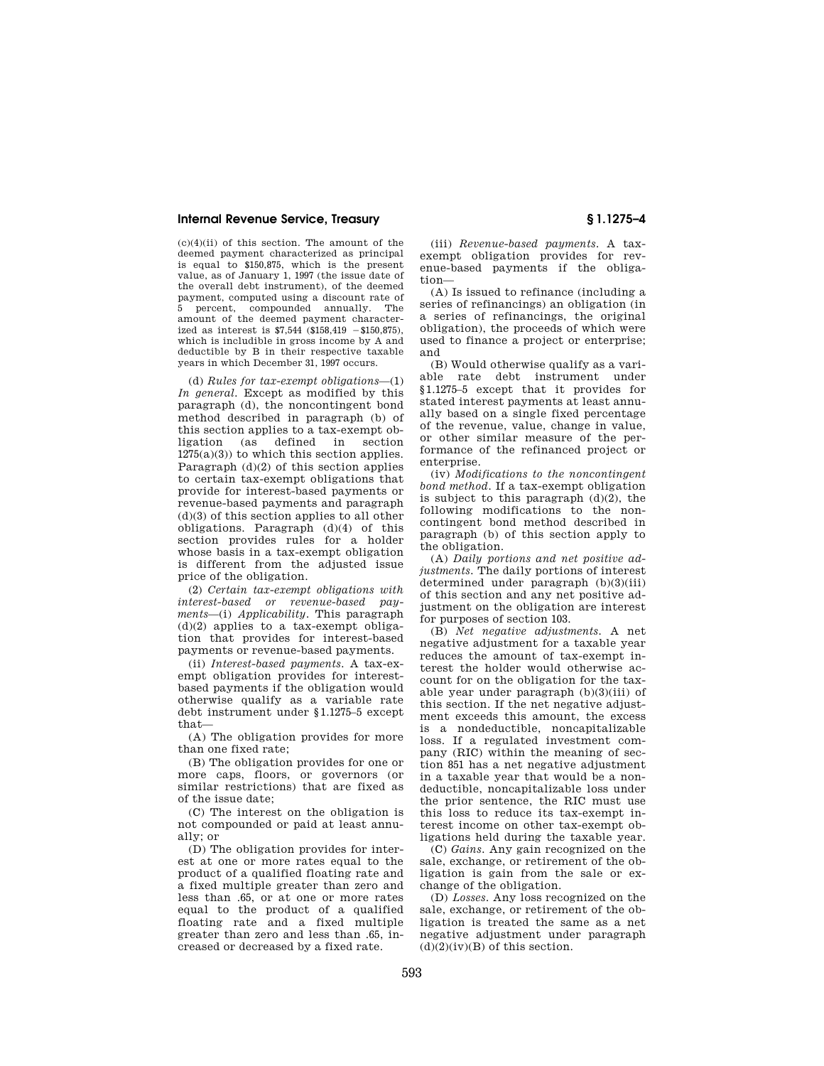$(c)(4)(ii)$  of this section. The amount of the deemed payment characterized as principal is equal to \$150,875, which is the present value, as of January 1, 1997 (the issue date of the overall debt instrument), of the deemed payment, computed using a discount rate of 5 percent, compounded annually. The amount of the deemed payment characterized as interest is  $$7,544$   $$158,419$   $$150,875$ ), which is includible in gross income by A and deductible by B in their respective taxable years in which December 31, 1997 occurs.

(d) *Rules for tax-exempt obligations*—(1) *In general.* Except as modified by this paragraph (d), the noncontingent bond method described in paragraph (b) of this section applies to a tax-exempt obligation (as defined in section  $1275(a)(3)$  to which this section applies. Paragraph  $(d)(2)$  of this section applies to certain tax-exempt obligations that provide for interest-based payments or revenue-based payments and paragraph  $(d)(3)$  of this section applies to all other obligations. Paragraph (d)(4) of this section provides rules for a holder whose basis in a tax-exempt obligation is different from the adjusted issue price of the obligation.

(2) *Certain tax-exempt obligations with interest-based or revenue-based payments*—(i) *Applicability.* This paragraph  $(d)(2)$  applies to a tax-exempt obligation that provides for interest-based payments or revenue-based payments.

(ii) *Interest-based payments.* A tax-exempt obligation provides for interestbased payments if the obligation would otherwise qualify as a variable rate debt instrument under §1.1275–5 except that—

(A) The obligation provides for more than one fixed rate;

(B) The obligation provides for one or more caps, floors, or governors (or similar restrictions) that are fixed as of the issue date;

(C) The interest on the obligation is not compounded or paid at least annually; or

(D) The obligation provides for interest at one or more rates equal to the product of a qualified floating rate and a fixed multiple greater than zero and less than .65, or at one or more rates equal to the product of a qualified floating rate and a fixed multiple greater than zero and less than .65, increased or decreased by a fixed rate.

(iii) *Revenue-based payments.* A taxexempt obligation provides for revenue-based payments if the obligation—

(A) Is issued to refinance (including a series of refinancings) an obligation (in a series of refinancings, the original obligation), the proceeds of which were used to finance a project or enterprise; and

(B) Would otherwise qualify as a variable rate debt instrument under §1.1275–5 except that it provides for stated interest payments at least annually based on a single fixed percentage of the revenue, value, change in value, or other similar measure of the performance of the refinanced project or enterprise.

(iv) *Modifications to the noncontingent bond method.* If a tax-exempt obligation is subject to this paragraph  $(d)(2)$ , the following modifications to the noncontingent bond method described in paragraph (b) of this section apply to the obligation.

(A) *Daily portions and net positive adjustments.* The daily portions of interest determined under paragraph (b)(3)(iii) of this section and any net positive adjustment on the obligation are interest for purposes of section 103.

(B) *Net negative adjustments.* A net negative adjustment for a taxable year reduces the amount of tax-exempt interest the holder would otherwise account for on the obligation for the taxable year under paragraph (b)(3)(iii) of this section. If the net negative adjustment exceeds this amount, the excess is a nondeductible, noncapitalizable loss. If a regulated investment company (RIC) within the meaning of section 851 has a net negative adjustment in a taxable year that would be a nondeductible, noncapitalizable loss under the prior sentence, the RIC must use this loss to reduce its tax-exempt interest income on other tax-exempt obligations held during the taxable year.

(C) *Gains.* Any gain recognized on the sale, exchange, or retirement of the obligation is gain from the sale or exchange of the obligation.

(D) *Losses.* Any loss recognized on the sale, exchange, or retirement of the obligation is treated the same as a net negative adjustment under paragraph  $(d)(2)(iv)(B)$  of this section.